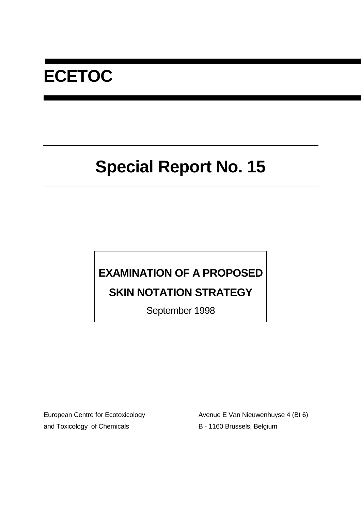# **ECETOC**

# **Special Report No. 15**

## **EXAMINATION OF A PROPOSED**

## **SKIN NOTATION STRATEGY**

September 1998

and Toxicology of Chemicals B - 1160 Brussels, Belgium

European Centre for Ecotoxicology **Avenue E Van Nieuwenhuyse 4 (Bt 6)**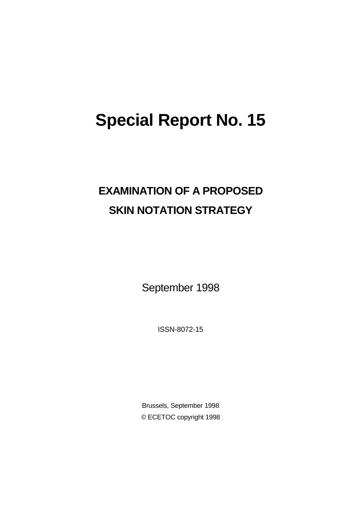# **Special Report No. 15**

## **EXAMINATION OF A PROPOSED SKIN NOTATION STRATEGY**

September 1998

ISSN-8072-15

Brussels, September 1998 © ECETOC copyright 1998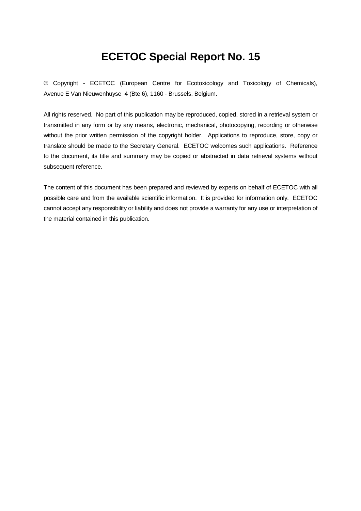## **ECETOC Special Report No. 15**

© Copyright - ECETOC (European Centre for Ecotoxicology and Toxicology of Chemicals), Avenue E Van Nieuwenhuyse 4 (Bte 6), 1160 - Brussels, Belgium.

All rights reserved. No part of this publication may be reproduced, copied, stored in a retrieval system or transmitted in any form or by any means, electronic, mechanical, photocopying, recording or otherwise without the prior written permission of the copyright holder. Applications to reproduce, store, copy or translate should be made to the Secretary General. ECETOC welcomes such applications. Reference to the document, its title and summary may be copied or abstracted in data retrieval systems without subsequent reference.

The content of this document has been prepared and reviewed by experts on behalf of ECETOC with all possible care and from the available scientific information. It is provided for information only. ECETOC cannot accept any responsibility or liability and does not provide a warranty for any use or interpretation of the material contained in this publication.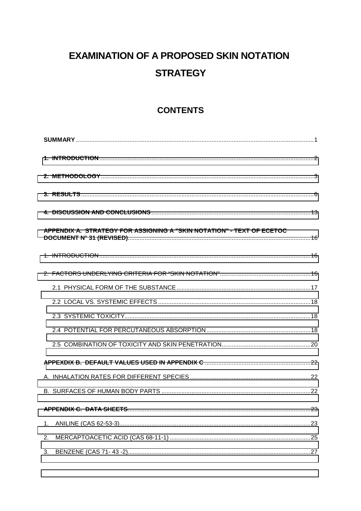## **EXAMINATION OF A PROPOSED SKIN NOTATION STRATEGY**

## **CONTENTS**

| APPENDIX A. STRATEGY FOR ASSIGNING A "SKIN NOTATION" - TEXT OF ECETOC |  |
|-----------------------------------------------------------------------|--|
|                                                                       |  |
|                                                                       |  |
|                                                                       |  |
|                                                                       |  |
|                                                                       |  |
|                                                                       |  |
|                                                                       |  |
|                                                                       |  |
|                                                                       |  |
|                                                                       |  |
|                                                                       |  |
| 1.                                                                    |  |
| 2.                                                                    |  |
| 3.                                                                    |  |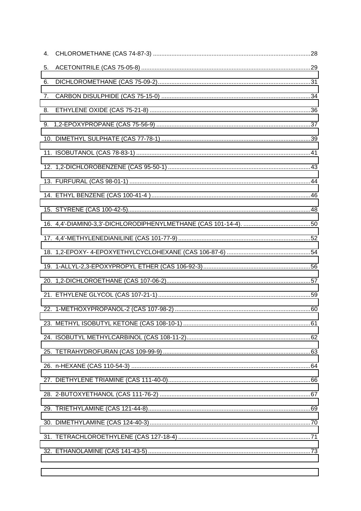| 4. |  |
|----|--|
| 5. |  |
| 6. |  |
| 7. |  |
| 8. |  |
|    |  |
|    |  |
|    |  |
|    |  |
|    |  |
|    |  |
|    |  |
|    |  |
|    |  |
|    |  |
|    |  |
|    |  |
|    |  |
|    |  |
|    |  |
|    |  |
|    |  |
|    |  |
|    |  |
|    |  |
|    |  |
|    |  |
|    |  |
|    |  |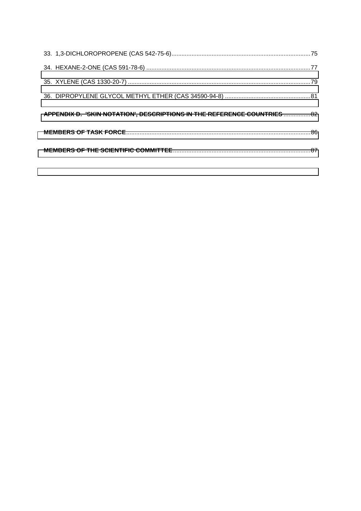| APPENDIX D. 'SKIN NOTATION', DESCRIPTIONS IN THE REFERENCE COUNTRIES  82 |  |
|--------------------------------------------------------------------------|--|
|                                                                          |  |
|                                                                          |  |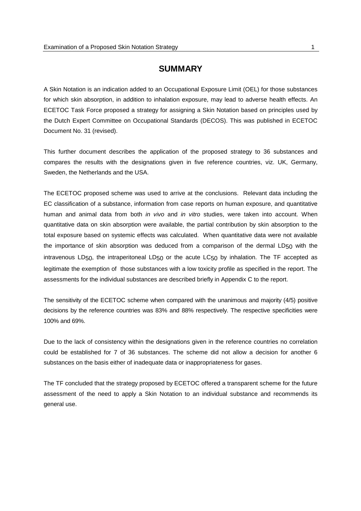#### **SUMMARY**

<span id="page-6-0"></span>A Skin Notation is an indication added to an Occupational Exposure Limit (OEL) for those substances for which skin absorption, in addition to inhalation exposure, may lead to adverse health effects. An ECETOC Task Force proposed a strategy for assigning a Skin Notation based on principles used by the Dutch Expert Committee on Occupational Standards (DECOS). This was published in ECETOC Document No. 31 (revised).

This further document describes the application of the proposed strategy to 36 substances and compares the results with the designations given in five reference countries, viz. UK, Germany, Sweden, the Netherlands and the USA.

The ECETOC proposed scheme was used to arrive at the conclusions. Relevant data including the EC classification of a substance, information from case reports on human exposure, and quantitative human and animal data from both *in vivo* and *in vitro* studies, were taken into account. When quantitative data on skin absorption were available, the partial contribution by skin absorption to the total exposure based on systemic effects was calculated. When quantitative data were not available the importance of skin absorption was deduced from a comparison of the dermal  $LD_{50}$  with the intravenous LD50, the intraperitoneal LD50 or the acute LC50 by inhalation. The TF accepted as legitimate the exemption of those substances with a low toxicity profile as specified in the report. The assessments for the individual substances are described briefly in Appendix C to the report.

The sensitivity of the ECETOC scheme when compared with the unanimous and majority (4/5) positive decisions by the reference countries was 83% and 88% respectively. The respective specificities were 100% and 69%.

Due to the lack of consistency within the designations given in the reference countries no correlation could be established for 7 of 36 substances. The scheme did not allow a decision for another 6 substances on the basis either of inadequate data or inappropriateness for gases.

The TF concluded that the strategy proposed by ECETOC offered a transparent scheme for the future assessment of the need to apply a Skin Notation to an individual substance and recommends its general use.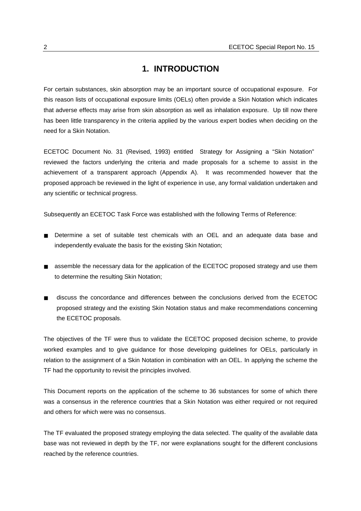#### **1. INTRODUCTION**

<span id="page-7-0"></span>For certain substances, skin absorption may be an important source of occupational exposure. For this reason lists of occupational exposure limits (OELs) often provide a Skin Notation which indicates that adverse effects may arise from skin absorption as well as inhalation exposure. Up till now there has been little transparency in the criteria applied by the various expert bodies when deciding on the need for a Skin Notation.

ECETOC Document No. 31 (Revised, 1993) entitled Strategy for Assigning a "Skin Notation" reviewed the factors underlying the criteria and made proposals for a scheme to assist in the achievement of a transparent approach (Appendix A). It was recommended however that the proposed approach be reviewed in the light of experience in use, any formal validation undertaken and any scientific or technical progress.

Subsequently an ECETOC Task Force was established with the following Terms of Reference:

- Determine a set of suitable test chemicals with an OEL and an adequate data base and independently evaluate the basis for the existing Skin Notation;
- assemble the necessary data for the application of the ECETOC proposed strategy and use them to determine the resulting Skin Notation;
- discuss the concordance and differences between the conclusions derived from the ECETOC proposed strategy and the existing Skin Notation status and make recommendations concerning the ECETOC proposals.

The objectives of the TF were thus to validate the ECETOC proposed decision scheme, to provide worked examples and to give guidance for those developing guidelines for OELs, particularly in relation to the assignment of a Skin Notation in combination with an OEL. In applying the scheme the TF had the opportunity to revisit the principles involved.

This Document reports on the application of the scheme to 36 substances for some of which there was a consensus in the reference countries that a Skin Notation was either required or not required and others for which were was no consensus.

The TF evaluated the proposed strategy employing the data selected. The quality of the available data base was not reviewed in depth by the TF, nor were explanations sought for the different conclusions reached by the reference countries.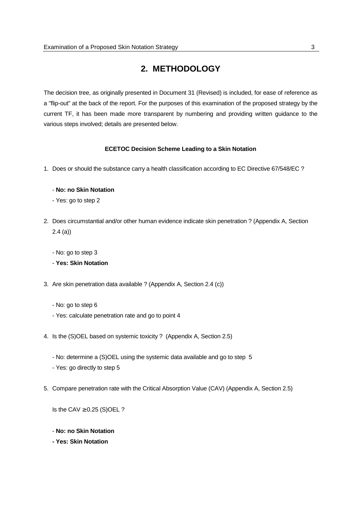## **2. METHODOLOGY**

<span id="page-8-0"></span>The decision tree, as originally presented in Document 31 (Revised) is included, for ease of reference as a "flip-out" at the back of the report. For the purposes of this examination of the proposed strategy by the current TF, it has been made more transparent by numbering and providing written guidance to the various steps involved; details are presented below.

#### **ECETOC Decision Scheme Leading to a Skin Notation**

1. Does or should the substance carry a health classification according to EC Directive 67/548/EC ?

#### - **No: no Skin Notation**

- Yes: go to step 2
- 2. Does circumstantial and/or other human evidence indicate skin penetration ? (Appendix A, Section 2.4 (a))
	- No: go to step 3

#### - **Yes: Skin Notation**

- 3. Are skin penetration data available ? (Appendix A, Section 2.4 (c))
	- No: go to step 6
	- Yes: calculate penetration rate and go to point 4
- 4. Is the (S)OEL based on systemic toxicity ? (Appendix A, Section 2.5)
	- No: determine a (S)OEL using the systemic data available and go to step 5 - Yes: go directly to step 5
- 5. Compare penetration rate with the Critical Absorption Value (CAV) (Appendix A, Section 2.5)

Is the CAV  $\geq$  0.25 (S)OEL ?

- **No: no Skin Notation**
- **Yes: Skin Notation**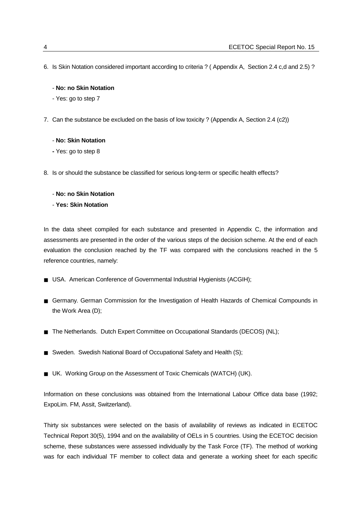- 6. Is Skin Notation considered important according to criteria ? ( Appendix A, Section 2.4 c,d and 2.5) ?
	- **No: no Skin Notation**
	- Yes: go to step 7
- 7. Can the substance be excluded on the basis of low toxicity ? (Appendix A, Section 2.4 (c2))

#### - **No: Skin Notation**

- Yes: go to step 8
- 8. Is or should the substance be classified for serious long-term or specific health effects?

#### - **No: no Skin Notation**

#### - **Yes: Skin Notation**

In the data sheet compiled for each substance and presented in Appendix C, the information and assessments are presented in the order of the various steps of the decision scheme. At the end of each evaluation the conclusion reached by the TF was compared with the conclusions reached in the 5 reference countries, namely:

- USA. American Conference of Governmental Industrial Hygienists (ACGIH);
- Germany. German Commission for the Investigation of Health Hazards of Chemical Compounds in the Work Area (D);
- The Netherlands. Dutch Expert Committee on Occupational Standards (DECOS) (NL);
- Sweden. Swedish National Board of Occupational Safety and Health (S);
- UK. Working Group on the Assessment of Toxic Chemicals (WATCH) (UK).

Information on these conclusions was obtained from the International Labour Office data base (1992; ExpoLim. FM, Assit, Switzerland).

Thirty six substances were selected on the basis of availability of reviews as indicated in ECETOC Technical Report 30(5), 1994 and on the availability of OELs in 5 countries. Using the ECETOC decision scheme, these substances were assessed individually by the Task Force (TF). The method of working was for each individual TF member to collect data and generate a working sheet for each specific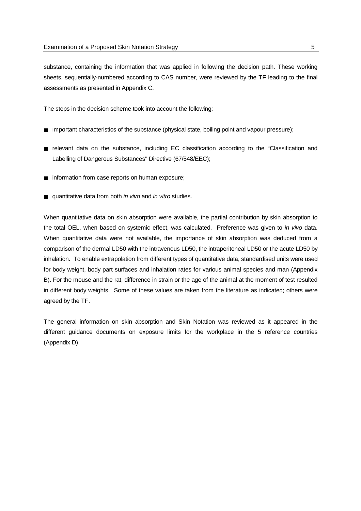substance, containing the information that was applied in following the decision path. These working sheets, sequentially-numbered according to CAS number, were reviewed by the TF leading to the final assessments as presented in Appendix C.

The steps in the decision scheme took into account the following:

- Important characteristics of the substance (physical state, boiling point and vapour pressure);
- relevant data on the substance, including EC classification according to the "Classification and Labelling of Dangerous Substances" Directive (67/548/EEC);
- information from case reports on human exposure;
- quantitative data from both *in vivo* and *in vitro* studies.

When quantitative data on skin absorption were available, the partial contribution by skin absorption to the total OEL, when based on systemic effect, was calculated. Preference was given to *in vivo* data. When quantitative data were not available, the importance of skin absorption was deduced from a comparison of the dermal LD50 with the intravenous LD50, the intraperitoneal LD50 or the acute LD50 by inhalation. To enable extrapolation from different types of quantitative data, standardised units were used for body weight, body part surfaces and inhalation rates for various animal species and man (Appendix B). For the mouse and the rat, difference in strain or the age of the animal at the moment of test resulted in different body weights. Some of these values are taken from the literature as indicated; others were agreed by the TF.

The general information on skin absorption and Skin Notation was reviewed as it appeared in the different guidance documents on exposure limits for the workplace in the 5 reference countries (Appendix D).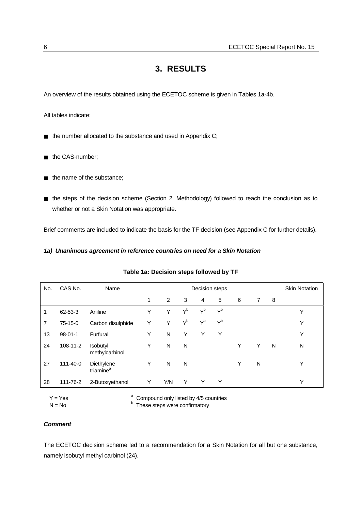### **3. RESULTS**

<span id="page-11-0"></span>An overview of the results obtained using the ECETOC scheme is given in Tables 1a-4b.

All tables indicate:

- the number allocated to the substance and used in Appendix C;
- the CAS-number:
- the name of the substance;
- the steps of the decision scheme (Section 2. Methodology) followed to reach the conclusion as to whether or not a Skin Notation was appropriate.

Brief comments are included to indicate the basis for the TF decision (see Appendix C for further details).

#### *1a) Unanimous agreement in reference countries on need for a Skin Notation*

| No. | CAS No.       | Name                                |   | <b>Skin Notation</b> |       |       |       |   |   |   |   |
|-----|---------------|-------------------------------------|---|----------------------|-------|-------|-------|---|---|---|---|
|     |               |                                     | 1 | $\overline{2}$       | 3     | 4     | 5     | 6 | 7 | 8 |   |
| 1   | 62-53-3       | Aniline                             | Y | Υ                    | $Y^b$ | $Y^b$ | $Y^b$ |   |   |   | Υ |
| 7   | 75-15-0       | Carbon disulphide                   | Y | Y                    | $Y^b$ | $Y^b$ | $Y^b$ |   |   |   | Υ |
| 13  | $98 - 01 - 1$ | Furfural                            | Y | N                    | Υ     | Y     | Υ     |   |   |   | Υ |
| 24  | 108-11-2      | Isobutyl<br>methylcarbinol          | Υ | N                    | N     |       |       | Υ | Υ | N | N |
| 27  | 111-40-0      | Diethylene<br>triamine <sup>a</sup> | Y | N                    | N     |       |       | Υ | N |   | Y |
| 28  | 111-76-2      | 2-Butoxyethanol                     | Y | Y/N                  | Υ     | Y     | Y     |   |   |   | Υ |

#### **Table 1a: Decision steps followed by TF**

 $Y = Yes$ 

 Compound only listed by 4/5 countries  $N = No$  b These steps were confirmatory

#### *Comment*

The ECETOC decision scheme led to a recommendation for a Skin Notation for all but one substance, namely isobutyl methyl carbinol (24).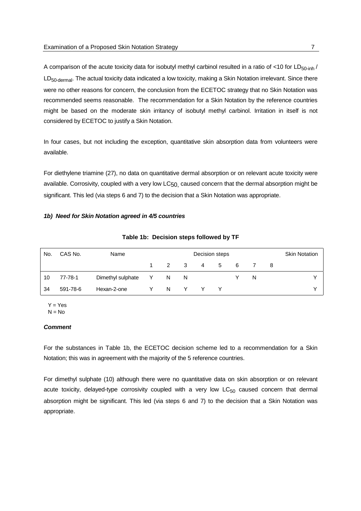A comparison of the acute toxicity data for isobutyl methyl carbinol resulted in a ratio of <10 for  $LD_{50\text{-inh}}/$ LD<sub>50-dermal</sub>. The actual toxicity data indicated a low toxicity, making a Skin Notation irrelevant. Since there were no other reasons for concern, the conclusion from the ECETOC strategy that no Skin Notation was recommended seems reasonable. The recommendation for a Skin Notation by the reference countries might be based on the moderate skin irritancy of isobutyl methyl carbinol. Irritation in itself is not considered by ECETOC to justify a Skin Notation.

In four cases, but not including the exception, quantitative skin absorption data from volunteers were available.

For diethylene triamine (27), no data on quantitative dermal absorption or on relevant acute toxicity were available. Corrosivity, coupled with a very low  $LC_{50}$  caused concern that the dermal absorption might be significant. This led (via steps 6 and 7) to the decision that a Skin Notation was appropriate.

#### *1b) Need for Skin Notation agreed in 4/5 countries*

| No. | CAS No.  | Name              | Decision steps |     |     |   |     |   |    |     | <b>Skin Notation</b> |
|-----|----------|-------------------|----------------|-----|-----|---|-----|---|----|-----|----------------------|
|     |          |                   |                | 2 3 |     | 4 | -5  | 6 |    | - 8 |                      |
| 10  | 77-78-1  | Dimethyl sulphate | Y              | - N | - N |   |     |   | N. |     |                      |
| 34  | 591-78-6 | Hexan-2-one       |                | N.  | Y.  |   | Y Y |   |    |     |                      |

**Table 1b: Decision steps followed by TF**

 $Y = Yes$  $N = No$ 

#### *Comment*

For the substances in Table 1b, the ECETOC decision scheme led to a recommendation for a Skin Notation; this was in agreement with the majority of the 5 reference countries.

For dimethyl sulphate (10) although there were no quantitative data on skin absorption or on relevant acute toxicity, delayed-type corrosivity coupled with a very low  $LC_{50}$  caused concern that dermal absorption might be significant. This led (via steps 6 and 7) to the decision that a Skin Notation was appropriate.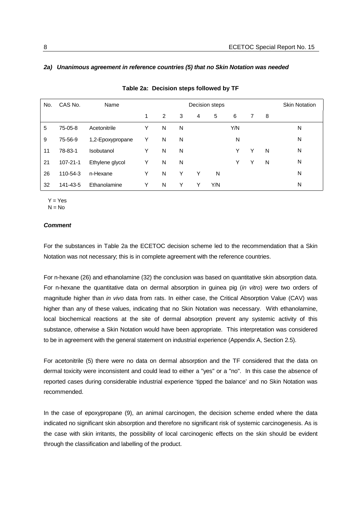| No. | CAS No.        | Name             |   |   | <b>Skin Notation</b> |                |     |     |   |   |   |
|-----|----------------|------------------|---|---|----------------------|----------------|-----|-----|---|---|---|
|     |                |                  | 1 | 2 | 3                    | $\overline{4}$ | 5   | 6   | 7 | 8 |   |
| 5   | 75-05-8        | Acetonitrile     | Y | N | N                    |                |     | Y/N |   |   | N |
| 9   | 75-56-9        | 1,2-Epoxypropane | Y | N | N                    |                |     | N   |   |   | N |
| 11  | 78-83-1        | Isobutanol       | Y | N | N                    |                |     | Y   | Y | N | N |
| 21  | $107 - 21 - 1$ | Ethylene glycol  | Y | N | N                    |                |     | Y   | Y | N | N |
| 26  | 110-54-3       | n-Hexane         | Y | N | Υ                    | Υ              | N   |     |   |   | N |
| 32  | 141-43-5       | Ethanolamine     | Υ | N | Y                    | Y              | Y/N |     |   |   | N |

**Table 2a: Decision steps followed by TF**

#### *2a) Unanimous agreement in reference countries (5) that no Skin Notation was needed*

 $Y = Yes$  $N = No$ 

#### *Comment*

For the substances in Table 2a the ECETOC decision scheme led to the recommendation that a Skin Notation was not necessary; this is in complete agreement with the reference countries.

For n-hexane (26) and ethanolamine (32) the conclusion was based on quantitative skin absorption data. For n-hexane the quantitative data on dermal absorption in guinea pig (*in vitro*) were two orders of magnitude higher than *in vivo* data from rats. In either case, the Critical Absorption Value (CAV) was higher than any of these values, indicating that no Skin Notation was necessary. With ethanolamine, local biochemical reactions at the site of dermal absorption prevent any systemic activity of this substance, otherwise a Skin Notation would have been appropriate. This interpretation was considered to be in agreement with the general statement on industrial experience (Appendix A, Section 2.5).

For acetonitrile (5) there were no data on dermal absorption and the TF considered that the data on dermal toxicity were inconsistent and could lead to either a "yes" or a "no". In this case the absence of reported cases during considerable industrial experience 'tipped the balance' and no Skin Notation was recommended.

In the case of epoxypropane (9), an animal carcinogen, the decision scheme ended where the data indicated no significant skin absorption and therefore no significant risk of systemic carcinogenesis. As is the case with skin irritants, the possibility of local carcinogenic effects on the skin should be evident through the classification and labelling of the product.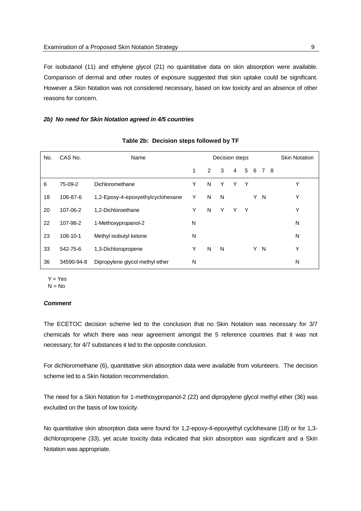For isobutanol (11) and ethylene glycol (21) no quantitative data on skin absorption were available. Comparison of dermal and other routes of exposure suggested that skin uptake could be significant. However a Skin Notation was not considered necessary, based on low toxicity and an absence of other reasons for concern.

#### *2b) No need for Skin Notation agreed in 4/5 countries*

| No. | CAS No.    | Name                              |   |   | Decision steps |   |   |   |                |    | <b>Skin Notation</b> |
|-----|------------|-----------------------------------|---|---|----------------|---|---|---|----------------|----|----------------------|
|     |            |                                   | 1 | 2 | 3              | 4 | 5 | 6 | $\overline{7}$ | -8 |                      |
| 6   | 75-09-2    | Dichloromethane                   | Υ | N | Y              | Y | Y |   |                |    | Υ                    |
| 18  | 106-87-6   | 1,2-Epoxy-4-epoxyethylcyclohexane | Y | N | N              |   |   | Y | N              |    | Υ                    |
| 20  | 107-06-2   | 1,2-Dichloroethane                | Υ | N | Y              | Y | Υ |   |                |    | Υ                    |
| 22  | 107-98-2   | 1-Methoxypropanol-2               | N |   |                |   |   |   |                |    | N                    |
| 23  | 108-10-1   | Methyl isobutyl ketone            | N |   |                |   |   |   |                |    | N                    |
| 33  | 542-75-6   | 1,3-Dichloropropene               | Υ | N | N              |   |   | Y | N              |    | Υ                    |
| 36  | 34590-94-8 | Dipropylene glycol methyl ether   | N |   |                |   |   |   |                |    | N                    |

#### **Table 2b: Decision steps followed by TF**

 $Y = Yes$ 

 $N = No$ 

#### *Comment*

The ECETOC decision scheme led to the conclusion that no Skin Notation was necessary for 3/7 chemicals for which there was near agreement amongst the 5 reference countries that it was not necessary; for 4/7 substances it led to the opposite conclusion.

For dichloromethane (6), quantitative skin absorption data were available from volunteers. The decision scheme led to a Skin Notation recommendation.

The need for a Skin Notation for 1-methoxypropanol-2 (22) and dipropylene glycol methyl ether (36) was excluded on the basis of low toxicity.

No quantitative skin absorption data were found for 1,2-epoxy-4-epoxyethyl cyclohexane (18) or for 1,3 dichloropropene (33), yet acute toxicity data indicated that skin absorption was significant and a Skin Notation was appropriate.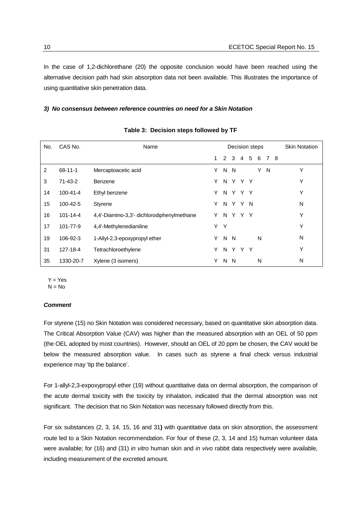In the case of 1,2-dichlorethane (20) the opposite conclusion would have been reached using the alternative decision path had skin absorption data not been available. This illustrates the importance of using quantitative skin penetration data.

#### *3) No consensus between reference countries on need for a Skin Notation*

| No. | CAS No.        | Name                                       |   |              |         |                | Decision steps |   |       | <b>Skin Notation</b> |
|-----|----------------|--------------------------------------------|---|--------------|---------|----------------|----------------|---|-------|----------------------|
|     |                |                                            | 1 | $\mathbf{2}$ | 3       | $\overline{4}$ | 5              |   | 6 7 8 |                      |
| 2   | $68 - 11 - 1$  | Mercaptoacetic acid                        | Y |              | N N     |                |                |   | Y N   | Υ                    |
| 3   | $71 - 43 - 2$  | Benzene                                    | Y |              | N Y Y Y |                |                |   |       | Υ                    |
| 14  | $100 - 41 - 4$ | Ethyl benzene                              | Y |              | N Y Y Y |                |                |   |       | Υ                    |
| 15  | 100-42-5       | Styrene                                    | Y |              | N Y Y N |                |                |   |       | N                    |
| 16  | $101 - 14 - 4$ | 4,4'-Diamino-3,3'- dichlorodiphenylmethane | Y |              | N Y Y Y |                |                |   |       | Υ                    |
| 17  | 101-77-9       | 4,4'-Methylenedianiline                    | Y | Y            |         |                |                |   |       | Υ                    |
| 19  | 106-92-3       | 1-Allyl-2,3-epoxypropyl ether              | Y |              | N N     |                |                | N |       | N                    |
| 31  | 127-18-4       | Tetrachloroethylene                        | Y | N.           | Y       | Y              | Y              |   |       | Υ                    |
| 35  | 1330-20-7      | Xylene (3 isomers)                         | Y | N.           | - N     |                |                | N |       | N                    |

#### **Table 3: Decision steps followed by TF**

 $Y = Yes$ 

 $N = No$ 

#### *Comment*

For styrene (15) no Skin Notation was considered necessary, based on quantitative skin absorption data. The Critical Absorption Value (CAV) was higher than the measured absorption with an OEL of 50 ppm (the OEL adopted by most countries). However, should an OEL of 20 ppm be chosen, the CAV would be below the measured absorption value. In cases such as styrene a final check versus industrial experience may 'tip the balance'.

For 1-allyl-2,3-expoxypropyl ether (19) without quantitative data on dermal absorption, the comparison of the acute dermal toxicity with the toxicity by inhalation, indicated that the dermal absorption was not significant. The decision that no Skin Notation was necessary followed directly from this.

For six substances (2, 3, 14, 15, 16 and 31**)** with quantitative data on skin absorption, the assessment route led to a Skin Notation recommendation. For four of these (2, 3, 14 and 15) human volunteer data were available; for (16) and (31) *in vitro* human skin and *in vivo* rabbit data respectively were available, including measurement of the excreted amount.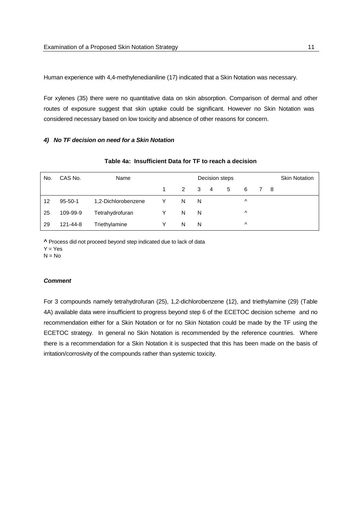Human experience with 4,4-methylenedianiline (17) indicated that a Skin Notation was necessary.

For xylenes (35) there were no quantitative data on skin absorption. Comparison of dermal and other routes of exposure suggest that skin uptake could be significant. However no Skin Notation was considered necessary based on low toxicity and absence of other reasons for concern.

#### *4) No TF decision on need for a Skin Notation*

| No. | CAS No.       | Name                | Decision steps |               |   |   |   |           | <b>Skin Notation</b> |  |
|-----|---------------|---------------------|----------------|---------------|---|---|---|-----------|----------------------|--|
|     |               |                     |                | $\mathcal{P}$ | 3 | 4 | 5 | 6         | - 8                  |  |
| 12  | $95 - 50 - 1$ | 1,2-Dichlorobenzene | Y              | N             | N |   |   | Λ         |                      |  |
| 25  | 109-99-9      | Tetrahydrofuran     | v              | N             | N |   |   | $\wedge$  |                      |  |
| 29  | 121-44-8      | Triethylamine       | v              | N             | N |   |   | $\lambda$ |                      |  |

#### **Table 4a: Insufficient Data for TF to reach a decision**

**^** Process did not proceed beyond step indicated due to lack of data

 $Y = Yes$ 

 $N = No$ 

#### *Comment*

For 3 compounds namely tetrahydrofuran (25), 1,2-dichlorobenzene (12), and triethylamine (29) (Table 4A) available data were insufficient to progress beyond step 6 of the ECETOC decision scheme and no recommendation either for a Skin Notation or for no Skin Notation could be made by the TF using the ECETOC strategy. In general no Skin Notation is recommended by the reference countries. Where there is a recommendation for a Skin Notation it is suspected that this has been made on the basis of irritation/corrosivity of the compounds rather than systemic toxicity.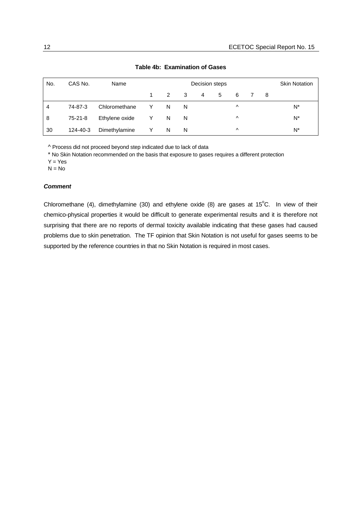| No. | CAS No.  | Name           |   |               | <b>Skin Notation</b> |   |   |          |    |    |
|-----|----------|----------------|---|---------------|----------------------|---|---|----------|----|----|
|     |          |                |   | $\mathcal{P}$ | - 3                  | 4 | 5 | 6        | -8 |    |
| 4   | 74-87-3  | Chloromethane  | Y | N             | N                    |   |   | $\wedge$ |    | N* |
| 8   | 75-21-8  | Ethylene oxide | Y | <sup>N</sup>  | N                    |   |   | $\wedge$ |    | N* |
| 30  | 124-40-3 | Dimethylamine  | Y | N             | N                    |   |   | $\wedge$ |    | N* |

#### **Table 4b: Examination of Gases**

^ Process did not proceed beyond step indicated due to lack of data

\* No Skin Notation recommended on the basis that exposure to gases requires a different protection

 $Y = Yes$ 

 $N = No$ 

#### *Comment*

Chloromethane (4), dimethylamine (30) and ethylene oxide (8) are gases at  $15^{\circ}$ C. In view of their chemico-physical properties it would be difficult to generate experimental results and it is therefore not surprising that there are no reports of dermal toxicity available indicating that these gases had caused problems due to skin penetration. The TF opinion that Skin Notation is not useful for gases seems to be supported by the reference countries in that no Skin Notation is required in most cases.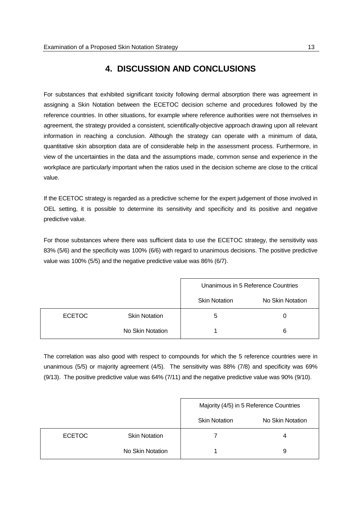## **4. DISCUSSION AND CONCLUSIONS**

<span id="page-18-0"></span>For substances that exhibited significant toxicity following dermal absorption there was agreement in assigning a Skin Notation between the ECETOC decision scheme and procedures followed by the reference countries. In other situations, for example where reference authorities were not themselves in agreement, the strategy provided a consistent, scientifically-objective approach drawing upon all relevant information in reaching a conclusion. Although the strategy can operate with a minimum of data, quantitative skin absorption data are of considerable help in the assessment process. Furthermore, in view of the uncertainties in the data and the assumptions made, common sense and experience in the workplace are particularly important when the ratios used in the decision scheme are close to the critical value.

If the ECETOC strategy is regarded as a predictive scheme for the expert judgement of those involved in OEL setting, it is possible to determine its sensitivity and specificity and its positive and negative predictive value.

For those substances where there was sufficient data to use the ECETOC strategy, the sensitivity was 83% (5/6) and the specificity was 100% (6/6) with regard to unanimous decisions. The positive predictive value was 100% (5/5) and the negative predictive value was 86% (6/7).

|               |                      |                      | Unanimous in 5 Reference Countries |
|---------------|----------------------|----------------------|------------------------------------|
|               |                      | <b>Skin Notation</b> | No Skin Notation                   |
| <b>ECETOC</b> | <b>Skin Notation</b> | 5                    | O)                                 |
|               | No Skin Notation     |                      | 6                                  |

The correlation was also good with respect to compounds for which the 5 reference countries were in unanimous (5/5) or majority agreement (4/5). The sensitivity was 88% (7/8) and specificity was 69% (9/13). The positive predictive value was 64% (7/11) and the negative predictive value was 90% (9/10).

|               |                      |                      | Majority (4/5) in 5 Reference Countries |
|---------------|----------------------|----------------------|-----------------------------------------|
|               |                      | <b>Skin Notation</b> | No Skin Notation                        |
| <b>ECETOC</b> | <b>Skin Notation</b> |                      |                                         |
|               | No Skin Notation     |                      | 9                                       |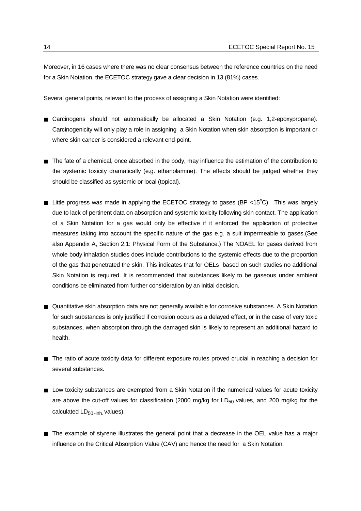Moreover, in 16 cases where there was no clear consensus between the reference countries on the need for a Skin Notation, the ECETOC strategy gave a clear decision in 13 (81%) cases.

Several general points, relevant to the process of assigning a Skin Notation were identified:

- Carcinogens should not automatically be allocated a Skin Notation (e.g. 1,2-epoxypropane). Carcinogenicity will only play a role in assigning a Skin Notation when skin absorption is important or where skin cancer is considered a relevant end-point.
- The fate of a chemical, once absorbed in the body, may influence the estimation of the contribution to the systemic toxicity dramatically (e.g. ethanolamine). The effects should be judged whether they should be classified as systemic or local (topical).
- **■** Little progress was made in applying the ECETOC strategy to gases (BP <15<sup>°</sup>C). This was largely due to lack of pertinent data on absorption and systemic toxicity following skin contact. The application of a Skin Notation for a gas would only be effective if it enforced the application of protective measures taking into account the specific nature of the gas e.g. a suit impermeable to gases.(See also Appendix A, Section 2.1: Physical Form of the Substance.) The NOAEL for gases derived from whole body inhalation studies does include contributions to the systemic effects due to the proportion of the gas that penetrated the skin. This indicates that for OELs based on such studies no additional Skin Notation is required. It is recommended that substances likely to be gaseous under ambient conditions be eliminated from further consideration by an initial decision.
- Quantitative skin absorption data are not generally available for corrosive substances. A Skin Notation for such substances is only justified if corrosion occurs as a delayed effect, or in the case of very toxic substances, when absorption through the damaged skin is likely to represent an additional hazard to health.
- The ratio of acute toxicity data for different exposure routes proved crucial in reaching a decision for several substances.
- Low toxicity substances are exempted from a Skin Notation if the numerical values for acute toxicity are above the cut-off values for classification (2000 mg/kg for  $LD_{50}$  values, and 200 mg/kg for the calculated  $LD_{50 \text{-inh}}$  values).
- The example of styrene illustrates the general point that a decrease in the OEL value has a major influence on the Critical Absorption Value (CAV) and hence the need for a Skin Notation.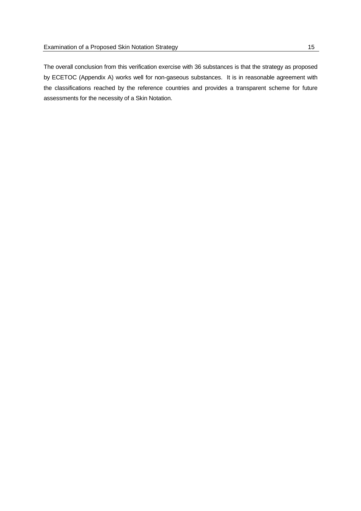The overall conclusion from this verification exercise with 36 substances is that the strategy as proposed by ECETOC (Appendix A) works well for non-gaseous substances. It is in reasonable agreement with the classifications reached by the reference countries and provides a transparent scheme for future assessments for the necessity of a Skin Notation.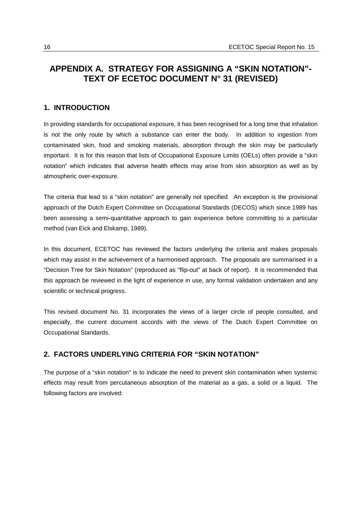### <span id="page-21-0"></span>**APPENDIX A. STRATEGY FOR ASSIGNING A "SKIN NOTATION"- TEXT OF ECETOC DOCUMENT N° 31 (REVISED)**

#### **1. INTRODUCTION**

In providing standards for occupational exposure, it has been recognised for a long time that inhalation is not the only route by which a substance can enter the body. In addition to ingestion from contaminated skin, food and smoking materials, absorption through the skin may be particularly important. It is for this reason that lists of Occupational Exposure Limits (OELs) often provide a "skin notation" which indicates that adverse health effects may arise from skin absorption as well as by atmospheric over-exposure.

The criteria that lead to a "skin notation" are generally not specified. An exception is the provisional approach of the Dutch Expert Committee on Occupational Standards (DECOS) which since 1989 has been assessing a semi-quantitative approach to gain experience before committing to a particular method (van Eick and Elskamp, 1989).

In this document, ECETOC has reviewed the factors underlying the criteria and makes proposals which may assist in the achievement of a harmonised approach. The proposals are summarised in a "Decision Tree for Skin Notation" (reproduced as "flip-out" at back of report). It is recommended that this approach be reviewed in the light of experience in use, any formal validation undertaken and any scientific or technical progress.

This revised document No. 31 incorporates the views of a larger circle of people consulted, and especially, the current document accords with the views of The Dutch Expert Committee on Occupational Standards.

#### **2. FACTORS UNDERLYING CRITERIA FOR "SKIN NOTATION"**

The purpose of a "skin notation" is to indicate the need to prevent skin contamination when systemic effects may result from percutaneous absorption of the material as a gas, a solid or a liquid. The following factors are involved: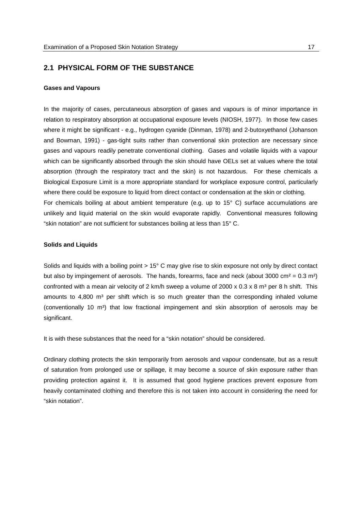#### **2.1 PHYSICAL FORM OF THE SUBSTANCE**

#### **Gases and Vapours**

In the majority of cases, percutaneous absorption of gases and vapours is of minor importance in relation to respiratory absorption at occupational exposure levels (NIOSH, 1977). In those few cases where it might be significant - e.g., hydrogen cyanide (Dinman, 1978) and 2-butoxyethanol (Johanson and Bowman, 1991) - gas-tight suits rather than conventional skin protection are necessary since gases and vapours readily penetrate conventional clothing. Gases and volatile liquids with a vapour which can be significantly absorbed through the skin should have OELs set at values where the total absorption (through the respiratory tract and the skin) is not hazardous. For these chemicals a Biological Exposure Limit is a more appropriate standard for workplace exposure control, particularly where there could be exposure to liquid from direct contact or condensation at the skin or clothing. For chemicals boiling at about ambient temperature (e.g. up to 15° C) surface accumulations are unlikely and liquid material on the skin would evaporate rapidly. Conventional measures following "skin notation" are not sufficient for substances boiling at less than 15° C.

#### **Solids and Liquids**

Solids and liquids with a boiling point > 15° C may give rise to skin exposure not only by direct contact but also by impingement of aerosols. The hands, forearms, face and neck (about 3000 cm<sup>2</sup> = 0.3 m<sup>2</sup>) confronted with a mean air velocity of 2 km/h sweep a volume of  $2000 \times 0.3 \times 8$  m<sup>3</sup> per 8 h shift. This amounts to  $4,800$  m<sup>3</sup> per shift which is so much greater than the corresponding inhaled volume (conventionally 10  $m<sup>3</sup>$ ) that low fractional impingement and skin absorption of aerosols may be significant.

It is with these substances that the need for a "skin notation" should be considered.

Ordinary clothing protects the skin temporarily from aerosols and vapour condensate, but as a result of saturation from prolonged use or spillage, it may become a source of skin exposure rather than providing protection against it. It is assumed that good hygiene practices prevent exposure from heavily contaminated clothing and therefore this is not taken into account in considering the need for "skin notation".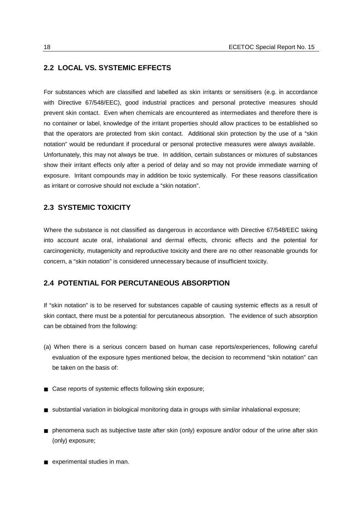#### **2.2 LOCAL VS. SYSTEMIC EFFECTS**

For substances which are classified and labelled as skin irritants or sensitisers (e.g. in accordance with Directive 67/548/EEC), good industrial practices and personal protective measures should prevent skin contact. Even when chemicals are encountered as intermediates and therefore there is no container or label, knowledge of the irritant properties should allow practices to be established so that the operators are protected from skin contact. Additional skin protection by the use of a "skin notation" would be redundant if procedural or personal protective measures were always available. Unfortunately, this may not always be true. In addition, certain substances or mixtures of substances show their irritant effects only after a period of delay and so may not provide immediate warning of exposure. Irritant compounds may in addition be toxic systemically. For these reasons classification as irritant or corrosive should not exclude a "skin notation".

#### **2.3 SYSTEMIC TOXICITY**

Where the substance is not classified as dangerous in accordance with Directive 67/548/EEC taking into account acute oral, inhalational and dermal effects, chronic effects and the potential for carcinogenicity, mutagenicity and reproductive toxicity and there are no other reasonable grounds for concern, a "skin notation" is considered unnecessary because of insufficient toxicity.

#### **2.4 POTENTIAL FOR PERCUTANEOUS ABSORPTION**

If "skin notation" is to be reserved for substances capable of causing systemic effects as a result of skin contact, there must be a potential for percutaneous absorption. The evidence of such absorption can be obtained from the following:

- (a) When there is a serious concern based on human case reports/experiences, following careful evaluation of the exposure types mentioned below, the decision to recommend "skin notation" can be taken on the basis of:
- Case reports of systemic effects following skin exposure;
- substantial variation in biological monitoring data in groups with similar inhalational exposure;
- phenomena such as subjective taste after skin (only) exposure and/or odour of the urine after skin (only) exposure;
- experimental studies in man.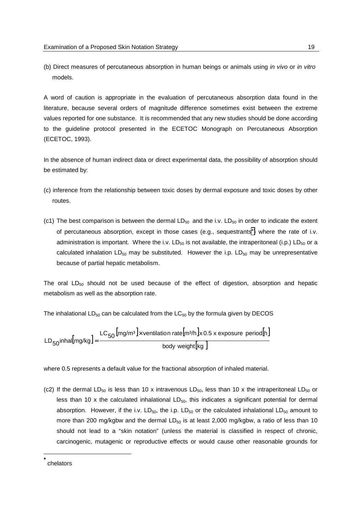(b) Direct measures of percutaneous absorption in human beings or animals using *in vivo* or *in vitro* models.

A word of caution is appropriate in the evaluation of percutaneous absorption data found in the literature, because several orders of magnitude difference sometimes exist between the extreme values reported for one substance. It is recommended that any new studies should be done according to the guideline protocol presented in the ECETOC Monograph on Percutaneous Absorption (ECETOC, 1993).

In the absence of human indirect data or direct experimental data, the possibility of absorption should be estimated by:

- (c) inference from the relationship between toxic doses by dermal exposure and toxic doses by other routes.
- (c1) The best comparison is between the dermal  $LD_{50}$  and the i.v.  $LD_{50}$  in order to indicate the extent of percutaneous absorption, except in those cases (e.g., sequestrants\*) where the rate of i.v. administration is important. Where the i.v.  $LD_{50}$  is not available, the intraperitoneal (i.p.) LD<sub>50</sub> or a calculated inhalation  $LD_{50}$  may be substituted. However the i.p.  $LD_{50}$  may be unrepresentative because of partial hepatic metabolism.

The oral  $LD_{50}$  should not be used because of the effect of digestion, absorption and hepatic metabolism as well as the absorption rate.

The inhalational  $LD_{50}$  can be calculated from the  $LC_{50}$  by the formula given by DECOS

$$
LD_{50} in \text{hal} [mg/kg] = \frac{LC_{50} [mg/m^3] \times \text{ventional} (mg/m^3)}{\text{body weight} [kg]}
$$

where 0.5 represents a default value for the fractional absorption of inhaled material.

(c2) If the dermal LD<sub>50</sub> is less than 10 x intravenous LD<sub>50</sub>, less than 10 x the intraperitoneal LD<sub>50</sub> or less than 10 x the calculated inhalational  $LD_{50}$ , this indicates a significant potential for dermal absorption. However, if the i.v.  $LD_{50}$ , the i.p.  $LD_{50}$  or the calculated inhalational  $LD_{50}$  amount to more than 200 mg/kgbw and the dermal  $LD_{50}$  is at least 2,000 mg/kgbw, a ratio of less than 10 should not lead to a "skin notation" (unless the material is classified in respect of chronic, carcinogenic, mutagenic or reproductive effects or would cause other reasonable grounds for

l

**<sup>\*</sup>** chelators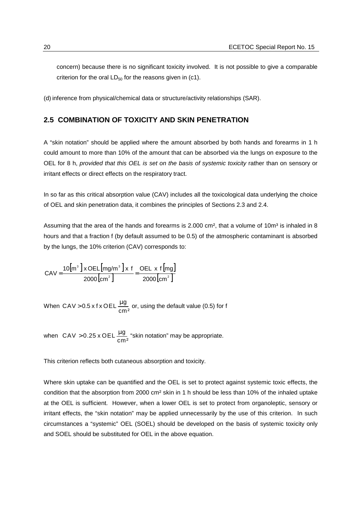<span id="page-25-0"></span>concern) because there is no significant toxicity involved. It is not possible to give a comparable criterion for the oral  $LD_{50}$  for the reasons given in (c1).

(d) inference from physical/chemical data or structure/activity relationships (SAR).

#### **2.5 COMBINATION OF TOXICITY AND SKIN PENETRATION**

A "skin notation" should be applied where the amount absorbed by both hands and forearms in 1 h could amount to more than 10% of the amount that can be absorbed via the lungs on exposure to the OEL for 8 h, *provided that this OEL is set on the basis of systemic toxicity* rather than on sensory or irritant effects or direct effects on the respiratory tract.

In so far as this critical absorption value (CAV) includes all the toxicological data underlying the choice of OEL and skin penetration data, it combines the principles of Sections 2.3 and 2.4.

Assuming that the area of the hands and forearms is  $2.000 \text{ cm}^2$ , that a volume of  $10 \text{ m}^3$  is inhaled in 8 hours and that a fraction f (by default assumed to be 0.5) of the atmospheric contaminant is absorbed by the lungs, the 10% criterion (CAV) corresponds to:

$$
CAV = \frac{10[m^3] \times OEL[mg/m^3] \times f}{2000\left[\text{cm}^2\right]} = \frac{OEL \times f[mg]}{2000\left[\text{cm}^2\right]}
$$

When CAV > 0.5 x f x OEL  $\frac{\mu g}{cm^2}$  or, using the default value (0.5) for f

when  $CAV > 0.25 \times OEL \frac{\mu g}{cm^2}$  "skin notation" may be appropriate.

This criterion reflects both cutaneous absorption and toxicity.

Where skin uptake can be quantified and the OEL is set to protect against systemic toxic effects, the condition that the absorption from 2000 cm² skin in 1 h should be less than 10% of the inhaled uptake at the OEL is sufficient. However, when a lower OEL is set to protect from organoleptic, sensory or irritant effects, the "skin notation" may be applied unnecessarily by the use of this criterion. In such circumstances a "systemic" OEL (SOEL) should be developed on the basis of systemic toxicity only and SOEL should be substituted for OEL in the above equation.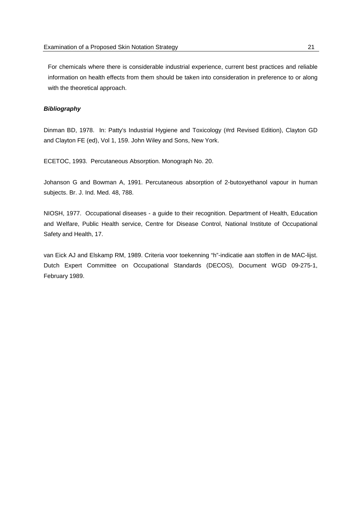For chemicals where there is considerable industrial experience, current best practices and reliable information on health effects from them should be taken into consideration in preference to or along with the theoretical approach.

#### *Bibliography*

Dinman BD, 1978. In: Patty's Industrial Hygiene and Toxicology (#rd Revised Edition), Clayton GD and Clayton FE (ed), Vol 1, 159. John Wiley and Sons, New York.

ECETOC, 1993. Percutaneous Absorption. Monograph No. 20.

Johanson G and Bowman A, 1991. Percutaneous absorption of 2-butoxyethanol vapour in human subjects. Br. J. Ind. Med. 48, 788.

NIOSH, 1977. Occupational diseases - a guide to their recognition. Department of Health, Education and Welfare, Public Health service, Centre for Disease Control, National Institute of Occupational Safety and Health, 17.

van Eick AJ and Elskamp RM, 1989. Criteria voor toekenning "h"-indicatie aan stoffen in de MAC-lijst. Dutch Expert Committee on Occupational Standards (DECOS), Document WGD 09-275-1, February 1989.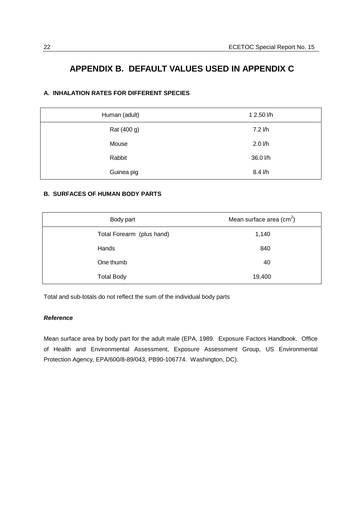## <span id="page-27-0"></span> **APPENDIX B. DEFAULT VALUES USED IN APPENDIX C**

#### **A. INHALATION RATES FOR DIFFERENT SPECIES**

| Human (adult) | 1 2.50 l/h  |
|---------------|-------------|
| Rat (400 g)   | $7.2$ $/h$  |
| Mouse         | $2.0$ $I/h$ |
| Rabbit        | 36.0 l/h    |
| Guinea pig    | 8.4 l/h     |

#### **B. SURFACES OF HUMAN BODY PARTS**

| Body part                 | Mean surface area $(cm2)$ |
|---------------------------|---------------------------|
| Total Forearm (plus hand) | 1,140                     |
| Hands                     | 840                       |
| One thumb                 | 40                        |
| <b>Total Body</b>         | 19,400                    |

Total and sub-totals do not reflect the sum of the individual body parts

#### *Reference*

Mean surface area by body part for the adult male (EPA, 1989. Exposure Factors Handbook. Office of Health and Environmental Assessment, Exposure Assessment Group, US Environmental Protection Agency, EPA/600/8-89/043, PB90-106774. Washington, DC).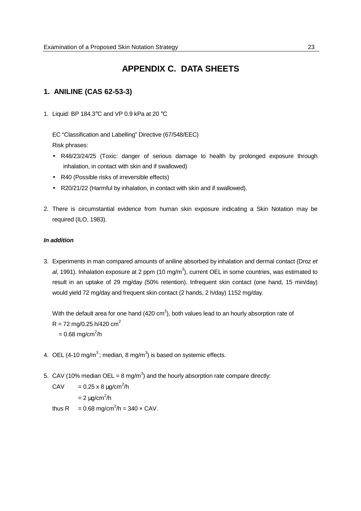## **APPENDIX C. DATA SHEETS**

#### <span id="page-28-0"></span>**1. ANILINE (CAS 62-53-3)**

1. Liquid: BP 184.3°C and VP 0.9 kPa at 20 °C

EC "Classification and Labelling" Directive (67/548/EEC) Risk phrases:

- R48/23/24/25 (Toxic: danger of serious damage to health by prolonged exposure through inhalation, in contact with skin and if swallowed)
- R40 (Possible risks of irreversible effects)
- R20/21/22 (Harmful by inhalation, in contact with skin and if swallowed).
- 2. There is circumstantial evidence from human skin exposure indicating a Skin Notation may be required (ILO, 1983).

#### *In addition*

3. Experiments in man compared amounts of aniline absorbed by inhalation and dermal contact (Droz *et* al, 1991). Inhalation exposure at 2 ppm (10 mg/m<sup>3</sup>), current OEL in some countries, was estimated to result in an uptake of 29 mg/day (50% retention). Infrequent skin contact (one hand, 15 min/day) would yield 72 mg/day and frequent skin contact (2 hands, 2 h/day) 1152 mg/day.

With the default area for one hand (420  $\text{cm}^2$ ), both values lead to an hourly absorption rate of  $R = 72$  mg/0.25 h/420 cm<sup>2</sup>

 $= 0.68 \text{ mg/cm}^2/\text{h}$ 

- 4. OEL (4-10 mg/m<sup>3</sup>; median, 8 mg/m<sup>3</sup>) is based on systemic effects.
- 5. CAV (10% median OEL = 8 mg/m<sup>3</sup>) and the hourly absorption rate compare directly:
	- CAV =  $0.25 \times 8 \mu g/cm^2/h$ 
		- $= 2 \mu g/cm^2/h$
	- thus R = 0.68 mg/cm<sup>2</sup>/h = 340  $\times$  CAV.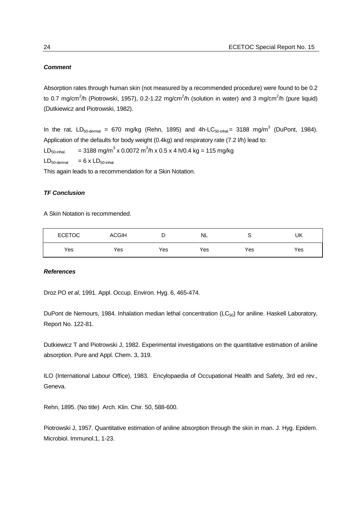#### *Comment*

Absorption rates through human skin (not measured by a recommended procedure) were found to be 0.2 to 0.7 mg/cm<sup>2</sup>/h (Piotrowski, 1957), 0.2-1.22 mg/cm<sup>2</sup>/h (solution in water) and 3 mg/cm<sup>2</sup>/h (pure liquid) (Dutkiewicz and Piotrowski, 1982).

In the rat, LD<sub>50-dermal</sub> = 670 mg/kg (Rehn, 1895) and 4h-LC<sub>50-inhal</sub>= 3188 mg/m<sup>3</sup> (DuPont, 1984). Application of the defaults for body weight (0.4kg) and respiratory rate (7.2 l/h) lead to:  $LD_{50\text{-inhal.}} = 3188 \text{ mg/m}^3 \times 0.0072 \text{ m}^3/\text{h} \times 0.5 \times 4 \text{ h}/0.4 \text{ kg} = 115 \text{ mg/kg}$  $LD_{50\text{-dermal}} = 6 \times LD_{50\text{-inhal}}$ 

This again leads to a recommendation for a Skin Notation.

#### *TF Conclusion*

A Skin Notation is recommended.

| <b>ECETOC</b> | <b>ACGIH</b> | D   | <b>NL</b> |     | UK  |
|---------------|--------------|-----|-----------|-----|-----|
| Yes           | Yes          | Yes | Yes       | Yes | Yes |

#### *References*

Droz PO *et al*, 1991. Appl. Occup. Environ. Hyg. 6, 465-474.

DuPont de Nemours, 1984. Inhalation median lethal concentration ( $LC_{50}$ ) for aniline. Haskell Laboratory, Report No. 122-81.

Dutkiewicz T and Piotrowski J, 1982. Experimental investigations on the quantitative estimation of aniline absorption. Pure and Appl. Chem. 3, 319.

ILO (International Labour Office), 1983. Encylopaedia of Occupational Health and Safety, 3rd ed rev., Geneva.

Rehn, 1895. (No title) Arch. Klin. Chir. 50, 588-600.

Piotrowski J, 1957. Quantitative estimation of aniline absorption through the skin in man. J. Hyg. Epidem. Microbiol. Immunol.1, 1-23.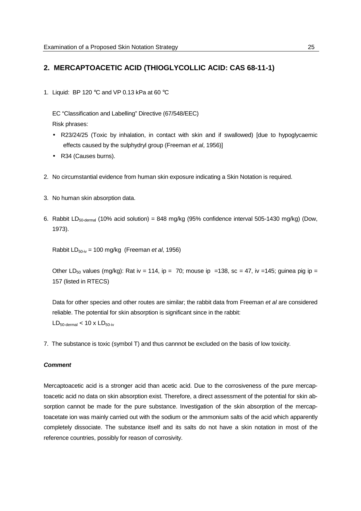#### **2. MERCAPTOACETIC ACID (THIOGLYCOLLIC ACID: CAS 68-11-1)**

1. Liquid: BP 120  $\degree$ C and VP 0.13 kPa at 60  $\degree$ C

EC "Classification and Labelling" Directive (67/548/EEC) Risk phrases:

- R23/24/25 (Toxic by inhalation, in contact with skin and if swallowed) [due to hypoglycaemic effects caused by the sulphydryl group (Freeman *et al*, 1956)]
- R34 (Causes burns).
- 2. No circumstantial evidence from human skin exposure indicating a Skin Notation is required.
- 3. No human skin absorption data.
- 6. Rabbit LD<sub>50-dermal</sub> (10% acid solution) = 848 mg/kg (95% confidence interval 505-1430 mg/kg) (Dow, 1973).

Rabbit LD50-iv = 100 mg/kg (Freeman *et al*, 1956)

Other LD<sub>50</sub> values (mg/kg): Rat iv = 114, ip = 70; mouse ip = 138, sc = 47, iv = 145; guinea pig ip = 157 (listed in RTECS)

Data for other species and other routes are similar; the rabbit data from Freeman *et al* are considered reliable. The potential for skin absorption is significant since in the rabbit:  $LD_{50\text{-dermal}} < 10 \times LD_{50\text{-iv}}$ 

7. The substance is toxic (symbol T) and thus cannnot be excluded on the basis of low toxicity.

#### *Comment*

Mercaptoacetic acid is a stronger acid than acetic acid. Due to the corrosiveness of the pure mercaptoacetic acid no data on skin absorption exist. Therefore, a direct assessment of the potential for skin absorption cannot be made for the pure substance. Investigation of the skin absorption of the mercaptoacetate ion was mainly carried out with the sodium or the ammonium salts of the acid which apparently completely dissociate. The substance itself and its salts do not have a skin notation in most of the reference countries, possibly for reason of corrosivity.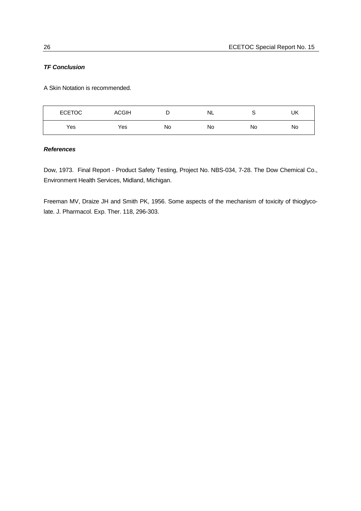#### *TF Conclusion*

A Skin Notation is recommended.

| <b>ECETOC</b> | <b>ACGIH</b> | ◡  | NL | ີ  | UK |
|---------------|--------------|----|----|----|----|
| Yes           | Yes          | No | No | No | No |

#### *References*

Dow, 1973. Final Report - Product Safety Testing, Project No. NBS-034, 7-28. The Dow Chemical Co., Environment Health Services, Midland, Michigan.

Freeman MV, Draize JH and Smith PK, 1956. Some aspects of the mechanism of toxicity of thioglycolate. J. Pharmacol. Exp. Ther. 118, 296-303.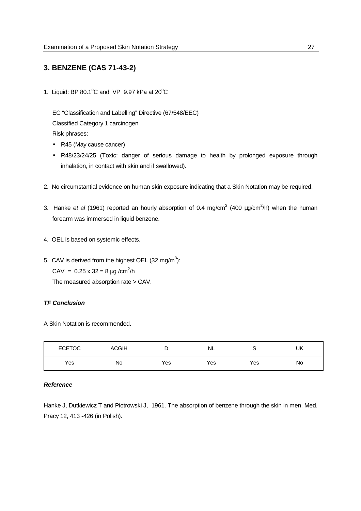#### **3. BENZENE (CAS 71-43-2)**

1. Liquid: BP 80.1 $^{\circ}$ C and VP 9.97 kPa at 20 $^{\circ}$ C

EC "Classification and Labelling" Directive (67/548/EEC) Classified Category 1 carcinogen Risk phrases:

- R45 (May cause cancer)
- R48/23/24/25 (Toxic: danger of serious damage to health by prolonged exposure through inhalation, in contact with skin and if swallowed).
- 2. No circumstantial evidence on human skin exposure indicating that a Skin Notation may be required.
- 3. Hanke et al (1961) reported an hourly absorption of 0.4 mg/cm<sup>2</sup> (400 µg/cm<sup>2</sup>/h) when the human forearm was immersed in liquid benzene.
- 4. OEL is based on systemic effects.
- 5. CAV is derived from the highest OEL (32 mg/m<sup>3</sup>):

CAV =  $0.25 \times 32 = 8 \mu g/cm^2/h$ 

The measured absorption rate > CAV.

#### *TF Conclusion*

A Skin Notation is recommended.

| <b>ECETOC</b> | <b>ACGIH</b> | -   | NL  | ∼   | UK |
|---------------|--------------|-----|-----|-----|----|
| Yes           | No           | Yes | Yes | Yes | No |

#### *Reference*

Hanke J, Dutkiewicz T and Piotrowski J, 1961. The absorption of benzene through the skin in men. Med. Pracy 12, 413 -426 (in Polish).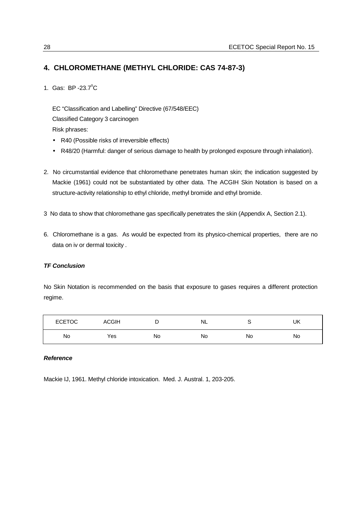#### **4. CHLOROMETHANE (METHYL CHLORIDE: CAS 74-87-3)**

1. Gas: BP -23.7°C

EC "Classification and Labelling" Directive (67/548/EEC) Classified Category 3 carcinogen Risk phrases:

- R40 (Possible risks of irreversible effects)
- R48/20 (Harmful: danger of serious damage to health by prolonged exposure through inhalation).
- 2. No circumstantial evidence that chloromethane penetrates human skin; the indication suggested by Mackie (1961) could not be substantiated by other data. The ACGIH Skin Notation is based on a structure-activity relationship to ethyl chloride, methyl bromide and ethyl bromide.
- 3 No data to show that chloromethane gas specifically penetrates the skin (Appendix A, Section 2.1).
- 6. Chloromethane is a gas. As would be expected from its physico-chemical properties, there are no data on iv or dermal toxicity .

#### *TF Conclusion*

No Skin Notation is recommended on the basis that exposure to gases requires a different protection regime.

| <b>ECETOC</b> | <b>ACGIH</b> | ◡  | NL |    | UK |
|---------------|--------------|----|----|----|----|
| No            | Yes          | No | No | No | No |

#### *Reference*

Mackie IJ, 1961. Methyl chloride intoxication. Med. J. Austral. 1, 203-205.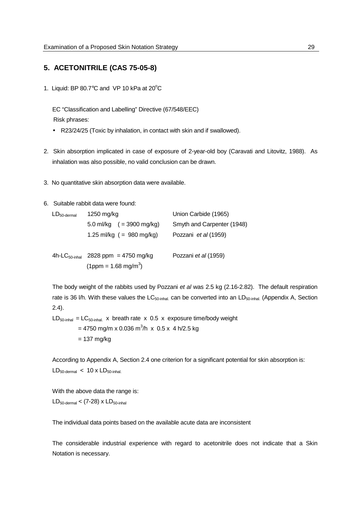#### **5. ACETONITRILE (CAS 75-05-8)**

1. Liquid: BP 80.7 $\degree$ C and VP 10 kPa at 20 $\degree$ C

EC "Classification and Labelling" Directive (67/548/EEC) Risk phrases:

- R23/24/25 (Toxic by inhalation, in contact with skin and if swallowed).
- 2. Skin absorption implicated in case of exposure of 2-year-old boy (Caravati and Litovitz, 1988). As inhalation was also possible, no valid conclusion can be drawn.
- 3. No quantitative skin absorption data were available.
- 6. Suitable rabbit data were found:

| $LD_{50\text{-}dermal}$ | 1250 mg/kg                                      | Union Carbide (1965)        |  |  |
|-------------------------|-------------------------------------------------|-----------------------------|--|--|
|                         | 5.0 ml/kg $( = 3900 \text{ mg/kg})$             | Smyth and Carpenter (1948)  |  |  |
|                         | 1.25 ml/kg $( = 980 \text{ mg/kg})$             | Pozzani <i>et al</i> (1959) |  |  |
|                         |                                                 |                             |  |  |
|                         | 4h-LC <sub>50-inhal</sub> 2828 ppm = 4750 mg/kg | Pozzani et al (1959)        |  |  |
|                         | $(1pm m = 1.68 mg/m3)$                          |                             |  |  |

The body weight of the rabbits used by Pozzani *et al* was 2.5 kg (2.16-2.82). The default respiration rate is 36 l/h. With these values the  $LC_{50\text{-inhal}}$  can be converted into an  $LD_{50\text{-inhal}}$ . (Appendix A, Section 2.4).

 $LD_{50\text{-inhal}} = LC_{50\text{-inhal}}$  x breath rate x 0.5 x exposure time/body weight = 4750 mg/m x 0.036 m $^3$ /h  $\,$  x  $\,$  0.5 x  $\,$  4 h/2.5 kg  $= 137$  mg/kg

According to Appendix A, Section 2.4 one criterion for a significant potential for skin absorption is:  $LD_{50\text{-dermal}} < 10 \times LD_{50\text{-inhal}}$ 

With the above data the range is:  $LD_{50\text{-dermal}} < (7-28) \times LD_{50\text{-inhal}}$ 

The individual data points based on the available acute data are inconsistent

The considerable industrial experience with regard to acetonitrile does not indicate that a Skin Notation is necessary.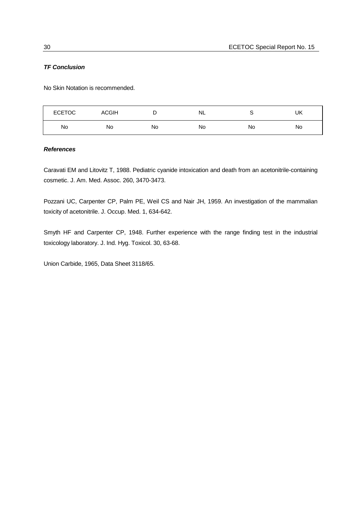#### *TF Conclusion*

No Skin Notation is recommended.

| <b>ECETOC</b> | <b>ACGIH</b> | -  | NL |    | UK |
|---------------|--------------|----|----|----|----|
| No            | No           | No | No | No | No |

#### *References*

Caravati EM and Litovitz T, 1988. Pediatric cyanide intoxication and death from an acetonitrile-containing cosmetic. J. Am. Med. Assoc. 260, 3470-3473.

Pozzani UC, Carpenter CP, Palm PE, Weil CS and Nair JH, 1959. An investigation of the mammalian toxicity of acetonitrile. J. Occup. Med. 1, 634-642.

Smyth HF and Carpenter CP, 1948. Further experience with the range finding test in the industrial toxicology laboratory. J. Ind. Hyg. Toxicol. 30, 63-68.

Union Carbide, 1965, Data Sheet 3118/65.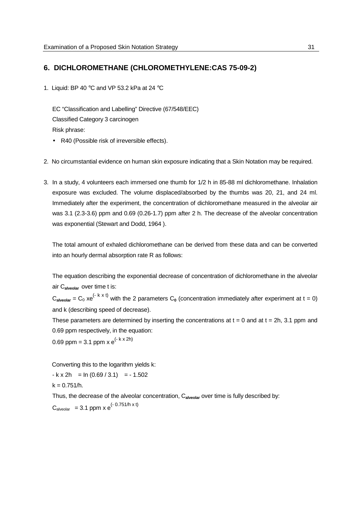## **6. DICHLOROMETHANE (CHLOROMETHYLENE:CAS 75-09-2)**

1. Liquid: BP 40 °C and VP 53.2 kPa at 24 °C

EC "Classification and Labelling" Directive (67/548/EEC) Classified Category 3 carcinogen Risk phrase:

- R40 (Possible risk of irreversible effects).
- 2. No circumstantial evidence on human skin exposure indicating that a Skin Notation may be required.
- 3. In a study, 4 volunteers each immersed one thumb for 1/2 h in 85-88 ml dichloromethane. Inhalation exposure was excluded. The volume displaced/absorbed by the thumbs was 20, 21, and 24 ml. Immediately after the experiment, the concentration of dichloromethane measured in the alveolar air was 3.1 (2.3-3.6) ppm and 0.69 (0.26-1.7) ppm after 2 h. The decrease of the alveolar concentration was exponential (Stewart and Dodd, 1964 ).

The total amount of exhaled dichloromethane can be derived from these data and can be converted into an hourly dermal absorption rate R as follows:

The equation describing the exponential decrease of concentration of dichloromethane in the alveolar air C**alveolar** over time t is:

 $C_{\text{alveolar}} = C_0 xe^{(-k \times t)}$  with the 2 parameters  $C_0$  (concentration immediately after experiment at t = 0) and k (describing speed of decrease).

These parameters are determined by inserting the concentrations at  $t = 0$  and at  $t = 2h$ , 3.1 ppm and 0.69 ppm respectively, in the equation:

0.69 ppm = 3.1 ppm x  $e^{(-k \times 2h)}$ 

Converting this to the logarithm yields k:

 $-k \times 2h = ln (0.69 / 3.1) = -1.502$  $k = 0.751/h$ .

Thus, the decrease of the alveolar concentration, C**alveolar** over time is fully described by:  $C_{\text{alveolar}} = 3.1 \text{ ppm} \times e^{(-0.751/h \times t)}$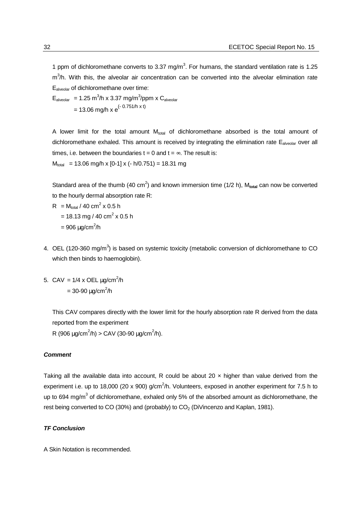1 ppm of dichloromethane converts to 3.37 mg/m<sup>3</sup>. For humans, the standard ventilation rate is 1.25 m<sup>3</sup>/h. With this, the alveolar air concentration can be converted into the alveolar elimination rate Ealveolar of dichloromethane over time:

 $E_{\text{alveolar}} = 1.25 \text{ m}^3/\text{h} \times 3.37 \text{ mg/m}^3/\text{ppm} \times C_{\text{alveolar}}$  $= 13.06$  mg/h x e<sup>(- 0.751/h x t)</sup>

A lower limit for the total amount  $M_{total}$  of dichloromethane absorbed is the total amount of dichloromethane exhaled. This amount is received by integrating the elimination rate E<sub>alveolar</sub> over all times, i.e. between the boundaries  $t = 0$  and  $t = \infty$ . The result is:  $M_{total}$  = 13.06 mg/h x [0-1] x (- h/0.751) = 18.31 mg

Standard area of the thumb (40 cm<sup>2</sup>) and known immersion time (1/2 h), M<sub>total</sub> can now be converted to the hourly dermal absorption rate R:

$$
R = M_{\text{total}} / 40 \text{ cm}^2 \times 0.5 \text{ h}
$$
  
= 18.13 mg / 40 cm<sup>2</sup> x 0.5 h

- $= 906 \mu g/cm^2/h$
- 4. OEL (120-360 mg/m<sup>3</sup>) is based on systemic toxicity (metabolic conversion of dichloromethane to CO which then binds to haemoglobin).
- 5. CAV =  $1/4 \times$  OEL  $\mu$ g/cm<sup>2</sup>/h  $= 30 - 90 \mu g/cm^2/h$

This CAV compares directly with the lower limit for the hourly absorption rate R derived from the data reported from the experiment

R (906  $\mu$ g/cm<sup>2</sup>/h) > CAV (30-90  $\mu$ g/cm<sup>2</sup>/h).

## *Comment*

Taking all the available data into account, R could be about 20  $\times$  higher than value derived from the experiment i.e. up to 18,000 (20 x 900) g/cm<sup>2</sup>/h. Volunteers, exposed in another experiment for 7.5 h to up to 694 mg/m<sup>3</sup> of dichloromethane, exhaled only 5% of the absorbed amount as dichloromethane, the rest being converted to CO (30%) and (probably) to  $CO<sub>2</sub>$  (DiVincenzo and Kaplan, 1981).

## *TF Conclusion*

A Skin Notation is recommended.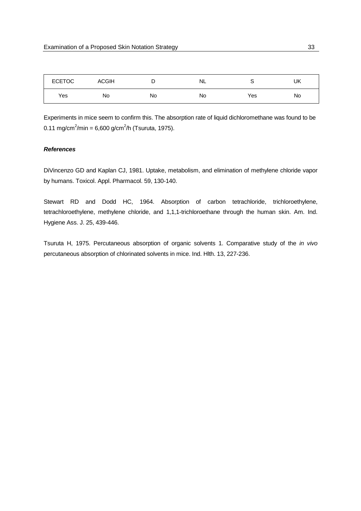| <b>ECETOC</b> | <b>ACGIH</b> | ◡  | NL. |     | UK |
|---------------|--------------|----|-----|-----|----|
| Yes           | No           | No | No  | Yes | No |

Experiments in mice seem to confirm this. The absorption rate of liquid dichloromethane was found to be 0.11 mg/cm<sup>2</sup>/min = 6,600 g/cm<sup>2</sup>/h (Tsuruta, 1975).

## *References*

DiVincenzo GD and Kaplan CJ, 1981. Uptake, metabolism, and elimination of methylene chloride vapor by humans. Toxicol. Appl. Pharmacol. 59, 130-140.

Stewart RD and Dodd HC, 1964. Absorption of carbon tetrachloride, trichloroethylene, tetrachloroethylene, methylene chloride, and 1,1,1-trichloroethane through the human skin. Am. Ind. Hygiene Ass. J. 25, 439-446.

Tsuruta H, 1975. Percutaneous absorption of organic solvents 1. Comparative study of the *in vivo* percutaneous absorption of chlorinated solvents in mice. Ind. Hlth. 13, 227-236.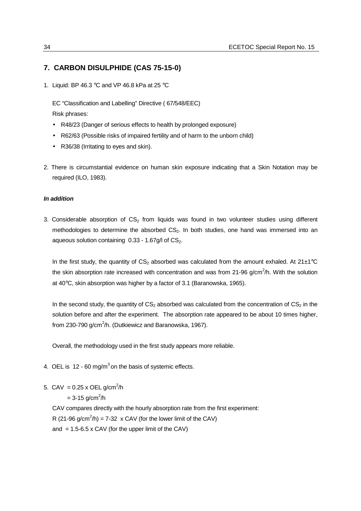## **7. CARBON DISULPHIDE (CAS 75-15-0)**

1. Liquid: BP 46.3 °C and VP 46.8 kPa at 25 °C

EC "Classification and Labelling" Directive ( 67/548/EEC) Risk phrases:

- R48/23 (Danger of serious effects to health by prolonged exposure)
- R62/63 (Possible risks of impaired fertility and of harm to the unborn child)
- R36/38 (Irritating to eyes and skin).
- 2. There is circumstantial evidence on human skin exposure indicating that a Skin Notation may be required (ILO, 1983).

## *In addition*

3. Considerable absorption of  $CS<sub>2</sub>$  from liquids was found in two volunteer studies using different methodologies to determine the absorbed  $CS<sub>2</sub>$ . In both studies, one hand was immersed into an aqueous solution containing  $0.33 - 1.67g/1$  of  $CS<sub>2</sub>$ .

In the first study, the quantity of  $CS_2$  absorbed was calculated from the amount exhaled. At 21 $\pm$ 1°C the skin absorption rate increased with concentration and was from 21-96 g/cm<sup>2</sup>/h. With the solution at 40°C, skin absorption was higher by a factor of 3.1 (Baranowska, 1965).

In the second study, the quantity of  $CS<sub>2</sub>$  absorbed was calculated from the concentration of  $CS<sub>2</sub>$  in the solution before and after the experiment. The absorption rate appeared to be about 10 times higher, from 230-790 g/cm<sup>2</sup>/h. (Dutkiewicz and Baranowska, 1967).

Overall, the methodology used in the first study appears more reliable.

- 4. OEL is 12 60 mg/m<sup>3</sup> on the basis of systemic effects.
- 5. CAV =  $0.25 \times$  OEL g/cm<sup>2</sup>/h

 $= 3 - 15$  g/cm<sup>2</sup>/h

CAV compares directly with the hourly absorption rate from the first experiment:

R (21-96 g/cm<sup>2</sup>/h) = 7-32 x CAV (for the lower limit of the CAV)

and  $= 1.5 - 6.5$  x CAV (for the upper limit of the CAV)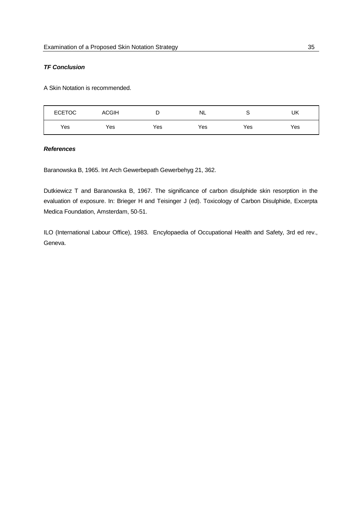## *TF Conclusion*

A Skin Notation is recommended.

| <b>ECETOC</b> | <b>ACGIH</b> |     | NL  |     | UK  |
|---------------|--------------|-----|-----|-----|-----|
| Yes           | Yes          | Yes | Yes | Yes | Yes |

## *References*

Baranowska B, 1965. Int Arch Gewerbepath Gewerbehyg 21, 362.

Dutkiewicz T and Baranowska B, 1967. The significance of carbon disulphide skin resorption in the evaluation of exposure. In: Brieger H and Teisinger J (ed). Toxicology of Carbon Disulphide, Excerpta Medica Foundation, Amsterdam, 50-51.

ILO (International Labour Office), 1983. Encylopaedia of Occupational Health and Safety, 3rd ed rev., Geneva.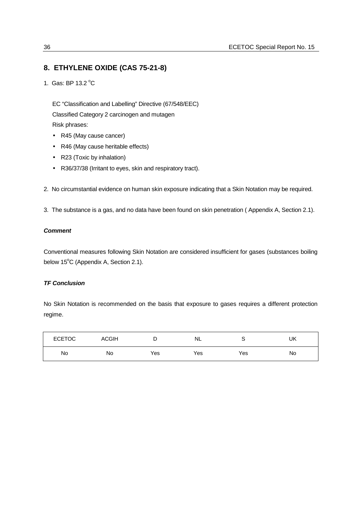# **8. ETHYLENE OXIDE (CAS 75-21-8)**

1. Gas: BP 13.2 °C

EC "Classification and Labelling" Directive (67/548/EEC) Classified Category 2 carcinogen and mutagen Risk phrases:

- R45 (May cause cancer)
- R46 (May cause heritable effects)
- R23 (Toxic by inhalation)
- R36/37/38 (Irritant to eyes, skin and respiratory tract).
- 2. No circumstantial evidence on human skin exposure indicating that a Skin Notation may be required.
- 3. The substance is a gas, and no data have been found on skin penetration ( Appendix A, Section 2.1).

## *Comment*

Conventional measures following Skin Notation are considered insufficient for gases (substances boiling below  $15^{\circ}$ C (Appendix A, Section 2.1).

## *TF Conclusion*

No Skin Notation is recommended on the basis that exposure to gases requires a different protection regime.

| <b>ECETOC</b> | <b>ACGIH</b> | ◡   | <b>NL</b> |     | UK |
|---------------|--------------|-----|-----------|-----|----|
| No            | No           | Yes | Yes       | Yes | No |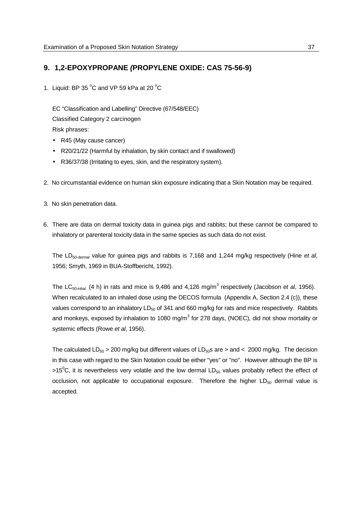# **9. 1,2***-***EPOXYPROPANE** *(***PROPYLENE OXIDE: CAS 75-56-9)**

1. Liquid: BP 35 $^{\circ}$ C and VP 59 kPa at 20 $^{\circ}$ C

EC "Classification and Labelling" Directive (67/548/EEC) Classified Category 2 carcinogen Risk phrases:

- R45 (May cause cancer)
- R20/21/22 (Harmful by inhalation, by skin contact and if swallowed)
- R36/37/38 (Irritating to eyes, skin, and the respiratory system).
- 2. No circumstantial evidence on human skin exposure indicating that a Skin Notation may be required.
- 3. No skin penetration data.
- 6. There are data on dermal toxicity data in guinea pigs and rabbits; but these cannot be compared to inhalatory or parenteral toxicity data in the same species as such data do not exist.

The LD<sub>50-dermal</sub> value for guinea pigs and rabbits is 7,168 and 1,244 mg/kg respectively (Hine *et al*, 1956; Smyth, 1969 in BUA-Stoffbericht, 1992).

The LC<sub>50-inhal.</sub> (4 h) in rats and mice is 9,486 and 4,126 mg/m<sup>3</sup> respectively (Jacobson *et al*, 1956). When recalculated to an inhaled dose using the DECOS formula (Appendix A, Section 2.4 (c)), these values correspond to an inhalatory  $LD_{50}$  of 341 and 660 mg/kg for rats and mice respectively. Rabbits and monkeys, exposed by inhalation to 1080 mg/m<sup>3</sup> for 278 days, (NOEC), did not show mortality or systemic effects (Rowe *et al*, 1956).

The calculated  $LD_{50} > 200$  mg/kg but different values of  $LD_{50}$ s are  $>$  and  $< 2000$  mg/kg. The decision in this case with regard to the Skin Notation could be either "yes" or "no". However although the BP is >15<sup>0</sup>C, it is nevertheless very volatile and the low dermal LD<sub>50</sub> values probably reflect the effect of occlusion, not applicable to occupational exposure. Therefore the higher  $LD_{50}$  dermal value is accepted.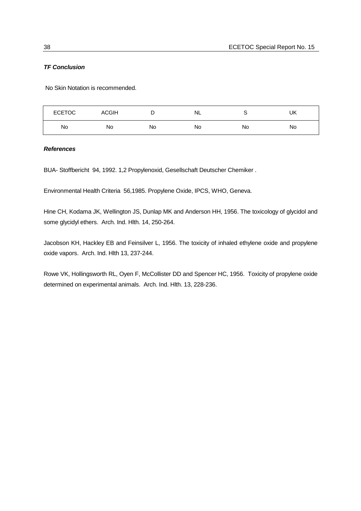## *TF Conclusion*

No Skin Notation is recommended.

| <b>ECETOC</b> | <b>ACGIH</b> | -  | NL |    | UK |
|---------------|--------------|----|----|----|----|
| No            | Νo           | No | No | No | No |

## *References*

BUA- Stoffbericht 94, 1992. 1,2 Propylenoxid, Gesellschaft Deutscher Chemiker .

Environmental Health Criteria 56,1985. Propylene Oxide, IPCS, WHO, Geneva.

Hine CH, Kodama JK, Wellington JS, Dunlap MK and Anderson HH, 1956. The toxicology of glycidol and some glycidyl ethers. Arch. Ind. Hlth. 14, 250-264.

Jacobson KH, Hackley EB and Feinsilver L, 1956. The toxicity of inhaled ethylene oxide and propylene oxide vapors. Arch. Ind. Hlth 13, 237-244.

Rowe VK, Hollingsworth RL, Oyen F, McCollister DD and Spencer HC, 1956. Toxicity of propylene oxide determined on experimental animals. Arch. Ind. Hlth. 13, 228-236.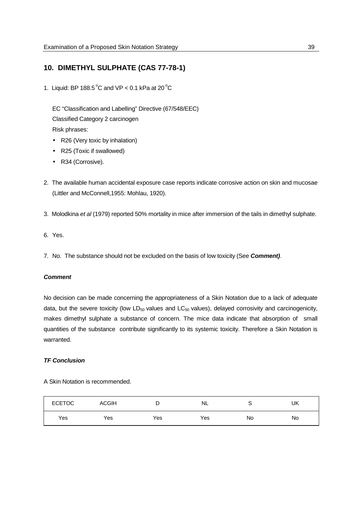## **10. DIMETHYL SULPHATE (CAS 77-78-1)**

1. Liquid: BP 188.5 $^{\circ}$ C and VP < 0.1 kPa at 20 $^{\circ}$ C

EC "Classification and Labelling" Directive (67/548/EEC) Classified Category 2 carcinogen Risk phrases:

- R26 (Very toxic by inhalation)
- R25 (Toxic if swallowed)
- R34 (Corrosive).
- 2. The available human accidental exposure case reports indicate corrosive action on skin and mucosae (Littler and McConnell,1955: Mohlau, 1920).
- 3. Molodkina *et al* (1979) reported 50% mortality in mice after immersion of the tails in dimethyl sulphate.
- 6. Yes.
- 7. No. The substance should not be excluded on the basis of low toxicity (See *Comment)*.

#### *Comment*

No decision can be made concerning the appropriateness of a Skin Notation due to a lack of adequate data, but the severe toxicity (low  $LD_{50}$  values and  $LC_{50}$  values), delayed corrosivity and carcinogenicity, makes dimethyl sulphate a substance of concern. The mice data indicate that absorption of small quantities of the substance contribute significantly to its systemic toxicity. Therefore a Skin Notation is warranted.

### *TF Conclusion*

A Skin Notation is recommended.

| <b>ECETOC</b> | <b>ACGIH</b> |     | <b>NL</b> |    | UK |
|---------------|--------------|-----|-----------|----|----|
| Yes           | Yes          | Yes | Yes       | No | No |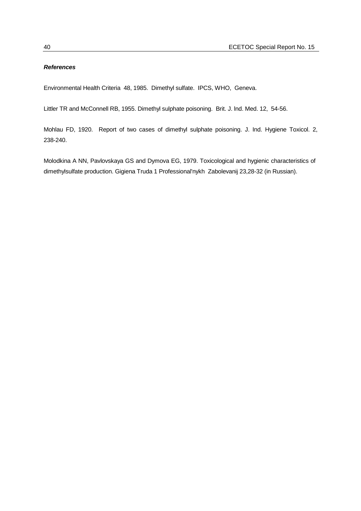## *References*

Environmental Health Criteria 48, 1985. Dimethyl sulfate. IPCS, WHO, Geneva.

Littler TR and McConnell RB, 1955. Dimethyl sulphate poisoning. Brit. J. lnd. Med. 12, 54-56.

Mohlau FD, 1920. Report of two cases of dimethyl sulphate poisoning. J. Ind. Hygiene Toxicol. 2, 238-240.

Molodkina A NN, Pavlovskaya GS and Dymova EG, 1979. Toxicological and hygienic characteristics of dimethylsulfate production. Gigiena Truda 1 Professional'nykh Zabolevanij 23,28-32 (in Russian).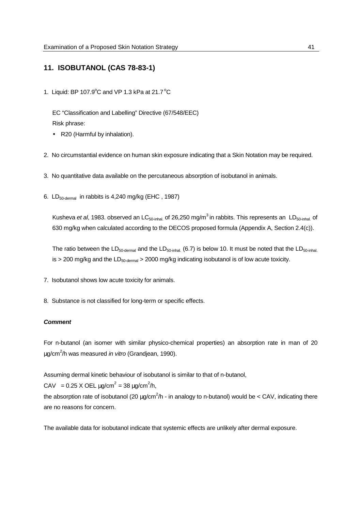## **11. ISOBUTANOL (CAS 78-83-1)**

1. Liquid: BP 107.9 $^{\circ}$ C and VP 1.3 kPa at 21.7 $^{\circ}$ C

EC "Classification and Labelling" Directive (67/548/EEC) Risk phrase:

- R20 (Harmful by inhalation).
- 2. No circumstantial evidence on human skin exposure indicating that a Skin Notation may be required.
- 3. No quantitative data available on the percutaneous absorption of isobutanol in animals.
- 6. LD50-dermal in rabbits is 4,240 mg/kg (EHC , 1987)

Kusheva *et al*, 1983. observed an LC<sub>50-inhal.</sub> of 26,250 mg/m<sup>3</sup> in rabbits. This represents an LD<sub>50-inhal.</sub> of 630 mg/kg when calculated according to the DECOS proposed formula (Appendix A, Section 2.4(c)).

The ratio between the  $LD_{50\text{-demal}}$  and the  $LD_{50\text{-inhal}}$ . (6.7) is below 10. It must be noted that the  $LD_{50\text{-inhal}}$ . is > 200 mg/kg and the  $LD_{50\text{-dermal}}$  > 2000 mg/kg indicating isobutanol is of low acute toxicity.

- 7. Isobutanol shows low acute toxicity for animals.
- 8. Substance is not classified for long-term or specific effects.

### *Comment*

For n-butanol (an isomer with similar physico-chemical properties) an absorption rate in man of 20 µg/cm<sup>2</sup> /h was measured *in vitro* (Grandjean, 1990).

Assuming dermal kinetic behaviour of isobutanol is similar to that of n-butanol,

CAV = 0.25 X OEL  $\mu$ g/cm<sup>2</sup> = 38  $\mu$ g/cm<sup>2</sup>/h,

the absorption rate of isobutanol (20  $\mu$ g/cm<sup>2</sup>/h - in analogy to n-butanol) would be < CAV, indicating there are no reasons for concern.

The available data for isobutanol indicate that systemic effects are unlikely after dermal exposure.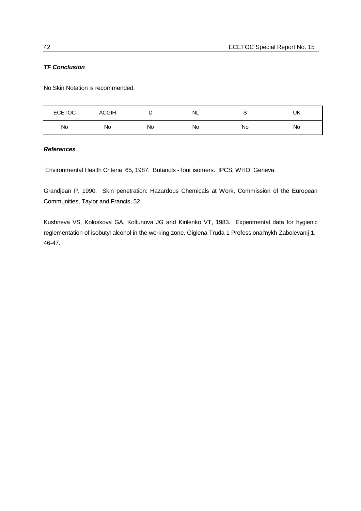## *TF Conclusion*

No Skin Notation is recommended.

| <b>ECETOC</b> | <b>ACGIH</b> | -  | NL |    | UK |
|---------------|--------------|----|----|----|----|
| No            | No           | No | No | No | No |

## *References*

Environmental Health Criteria 65, 1987. Butanols - four isomers. IPCS, WHO, Geneva.

Grandjean P, 1990. Skin penetration: Hazardous Chemicals at Work, Commission of the European Communities, Taylor and Francis, 52.

Kushneva VS, Koloskova GA, Koltunova JG and Kirilenko VT, 1983. Experimental data for hygienic reglementation of isobutyl alcohol in the working zone. Gigiena Truda 1 Professional'nykh Zabolevanij 1, 46-47.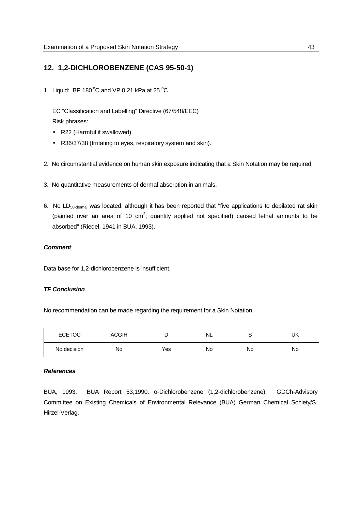# **12. 1,2-DICHLOROBENZENE (CAS 95-50-1)**

1. Liquid: BP 180 $^{\circ}$ C and VP 0.21 kPa at 25 $^{\circ}$ C

EC "Classification and Labelling" Directive (67/548/EEC) Risk phrases:

- R22 (Harmful if swallowed)
- R36/37/38 (Irritating to eyes, respiratory system and skin).
- 2. No circumstantial evidence on human skin exposure indicating that a Skin Notation may be required.
- 3. No quantitative measurements of dermal absorption in animals.
- 6. No LD50-dermal was located, although it has been reported that "five applications to depilated rat skin (painted over an area of 10 cm<sup>2</sup>; quantity applied not specified) caused lethal amounts to be absorbed" (Riedel, 1941 in BUA, 1993).

#### *Comment*

Data base for 1,2-dichlorobenzene is insufficient.

## *TF Conclusion*

No recommendation can be made regarding the requirement for a Skin Notation.

| <b>ECETOC</b> | <b>ACGIH</b> |     | <b>NL</b> | ب  | UK |
|---------------|--------------|-----|-----------|----|----|
| No decision   | No           | Yes | No        | No | No |

#### *References*

BUA, 1993. BUA Report 53,1990. o-Dichlorobenzene (1,2-dichlorobenzene). GDCh-Advisory Committee on Existing Chemicals of Environmental Relevance (BUA) German Chemical Society/S. Hirzel-Verlag.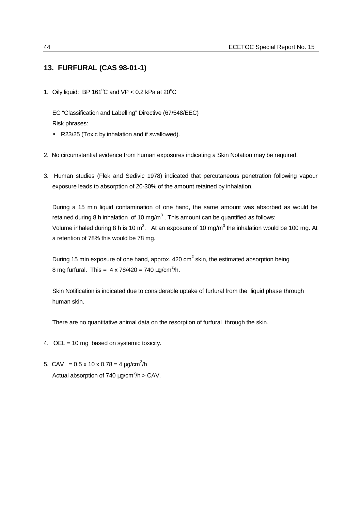## **13. FURFURAL (CAS 98-01-1)**

1. Oily liquid: BP 161 $^{\circ}$ C and VP < 0.2 kPa at 20 $^{\circ}$ C

EC "Classification and Labelling" Directive (67/548/EEC) Risk phrases:

- R23/25 (Toxic by inhalation and if swallowed).
- 2. No circumstantial evidence from human exposures indicating a Skin Notation may be required.
- 3. Human studies (Flek and Sedivic 1978) indicated that percutaneous penetration following vapour exposure leads to absorption of 20-30% of the amount retained by inhalation.

During a 15 min liquid contamination of one hand, the same amount was absorbed as would be retained during 8 h inhalation of 10 mg/m<sup>3</sup>. This amount can be quantified as follows: Volume inhaled during 8 h is 10 m<sup>3</sup>. At an exposure of 10 mg/m<sup>3</sup> the inhalation would be 100 mg. At a retention of 78% this would be 78 mg.

During 15 min exposure of one hand, approx.  $420 \text{ cm}^2$  skin, the estimated absorption being 8 mg furfural. This =  $4 \times 78/420 = 740 \,\mu g/cm^2/h$ .

Skin Notification is indicated due to considerable uptake of furfural from the liquid phase through human skin.

There are no quantitative animal data on the resorption of furfural through the skin.

- 4. OEL = 10 mg based on systemic toxicity.
- 5. CAV =  $0.5 \times 10 \times 0.78 = 4 \mu g/cm^2/h$ Actual absorption of 740  $\mu$ g/cm<sup>2</sup>/h > CAV.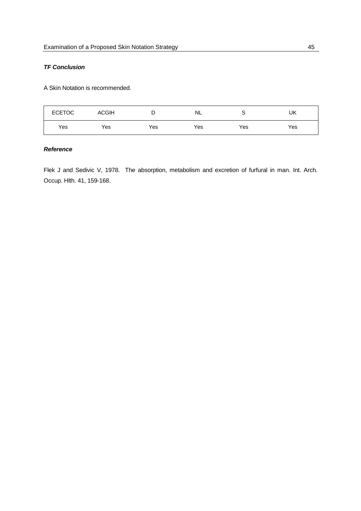## *TF Conclusion*

A Skin Notation is recommended.

| <b>ECETOC</b> | <b>ACGIH</b> | -   | NL  | ∼   | UK  |
|---------------|--------------|-----|-----|-----|-----|
| Yes           | Yes          | Yes | Yes | Yes | Yes |

## *Reference*

Flek J and Sedivic V, 1978. The absorption, metabolism and excretion of furfural in man. Int. Arch. Occup. Hlth. 41, 159-168.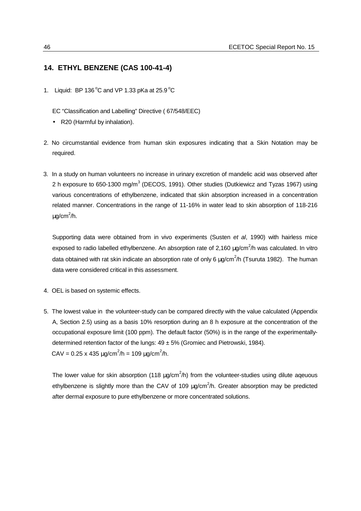## **14. ETHYL BENZENE (CAS 100-41-4)**

1. Liquid: BP 136 $^{\circ}$ C and VP 1.33 pKa at 25.9 $^{\circ}$ C

EC "Classification and Labelling" Directive ( 67/548/EEC)

- R20 (Harmful by inhalation).
- 2. No circumstantial evidence from human skin exposures indicating that a Skin Notation may be required.
- 3. In a study on human volunteers no increase in urinary excretion of mandelic acid was observed after 2 h exposure to 650-1300 mg/m<sup>3</sup> (DECOS, 1991). Other studies (Dutkiewicz and Tyzas 1967) using various concentrations of ethylbenzene, indicated that skin absorption increased in a concentration related manner. Concentrations in the range of 11-16% in water lead to skin absorption of 118-216  $\mu$ g/cm<sup>2</sup>/h.

Supporting data were obtained from in vivo experiments (Susten *et al*, 1990) with hairless mice exposed to radio labelled ethylbenzene. An absorption rate of 2,160  $\mu$ g/cm<sup>2</sup>/h was calculated. In vitro data obtained with rat skin indicate an absorption rate of only 6  $\mu$ g/cm<sup>2</sup>/h (Tsuruta 1982). The human data were considered critical in this assessment.

- 4. OEL is based on systemic effects.
- 5. The lowest value in the volunteer-study can be compared directly with the value calculated (Appendix A, Section 2.5) using as a basis 10% resorption during an 8 h exposure at the concentration of the occupational exposure limit (100 ppm). The default factor (50%) is in the range of the experimentallydetermined retention factor of the lungs:  $49 \pm 5\%$  (Gromiec and Pietrowski, 1984). CAV = 0.25 x 435  $\mu$ g/cm<sup>2</sup>/h = 109  $\mu$ g/cm<sup>2</sup>/h.

The lower value for skin absorption (118  $\mu$ g/cm<sup>2</sup>/h) from the volunteer-studies using dilute aqeuous ethylbenzene is slightly more than the CAV of 109 µg/cm<sup>2</sup>/h. Greater absorption may be predicted after dermal exposure to pure ethylbenzene or more concentrated solutions.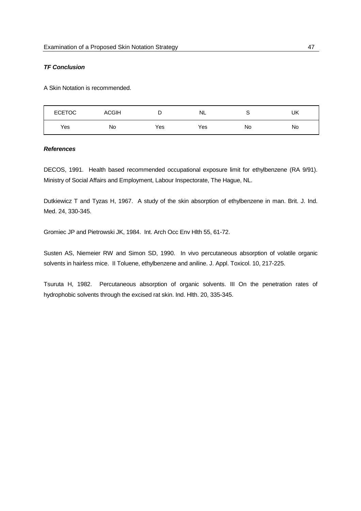## *TF Conclusion*

A Skin Notation is recommended.

| <b>ECETOC</b> | ACGIH | ∽   | NL  |    | UK |
|---------------|-------|-----|-----|----|----|
| Yes           | No    | Yes | Yes | No | No |

## *References*

DECOS, 1991. Health based recommended occupational exposure limit for ethylbenzene (RA 9/91). Ministry of Social Affairs and Employment, Labour Inspectorate, The Hague, NL.

Dutkiewicz T and Tyzas H, 1967. A study of the skin absorption of ethylbenzene in man. Brit. J. Ind. Med. 24, 330-345.

Gromiec JP and Pietrowski JK, 1984. Int. Arch Occ Env Hlth 55, 61-72.

Susten AS, Niemeier RW and Simon SD, 1990. In vivo percutaneous absorption of volatile organic solvents in hairless mice. II Toluene, ethylbenzene and aniline. J. Appl. Toxicol. 10, 217-225.

Tsuruta H, 1982. Percutaneous absorption of organic solvents. III On the penetration rates of hydrophobic solvents through the excised rat skin. Ind. Hlth. 20, 335-345.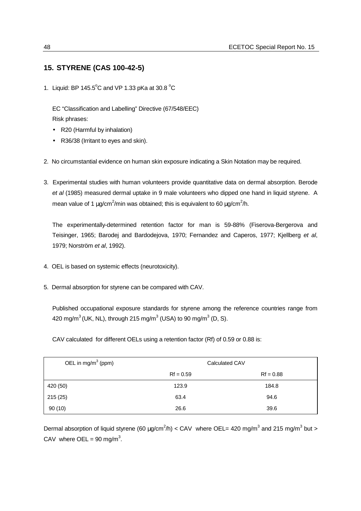# **15. STYRENE (CAS 100-42-5)**

1. Liquid: BP 145.5°C and VP 1.33 pKa at 30.8 °C

EC "Classification and Labelling" Directive (67/548/EEC) Risk phrases:

- R20 (Harmful by inhalation)
- R36/38 (Irritant to eyes and skin).
- 2. No circumstantial evidence on human skin exposure indicating a Skin Notation may be required.
- 3. Experimental studies with human volunteers provide quantitative data on dermal absorption. Berode *et al* (1985) measured dermal uptake in 9 male volunteers who dipped one hand in liquid styrene. A mean value of 1  $\mu$ g/cm<sup>2</sup>/min was obtained; this is equivalent to 60  $\mu$ g/cm<sup>2</sup>/h.

The experimentally-determined retention factor for man is 59-88% (Fiserova-Bergerova and Teisinger, 1965; Barodej and Bardodejova, 1970; Fernandez and Caperos, 1977; Kjellberg *et al*, 1979; Norström *et al*, 1992).

- 4. OEL is based on systemic effects (neurotoxicity).
- 5. Dermal absorption for styrene can be compared with CAV.

Published occupational exposure standards for styrene among the reference countries range from 420 mg/m $^3$ (UK, NL), through 215 mg/m $^3$  (USA) to 90 mg/m $^3$  (D, S).

CAV calculated for different OELs using a retention factor (Rf) of 0.59 or 0.88 is:

| OEL in mg/m <sup>3</sup> (ppm) | Calculated CAV |             |  |
|--------------------------------|----------------|-------------|--|
|                                | $Rf = 0.59$    | $Rf = 0.88$ |  |
| 420 (50)                       | 123.9          | 184.8       |  |
| 215(25)                        | 63.4           | 94.6        |  |
| 90(10)                         | 26.6           | 39.6        |  |

Dermal absorption of liquid styrene (60  $\mu$ g/cm<sup>2</sup>/h) < CAV where OEL= 420 mg/m<sup>3</sup> and 215 mg/m<sup>3</sup> but > CAV where OEL = 90 mg/m<sup>3</sup>.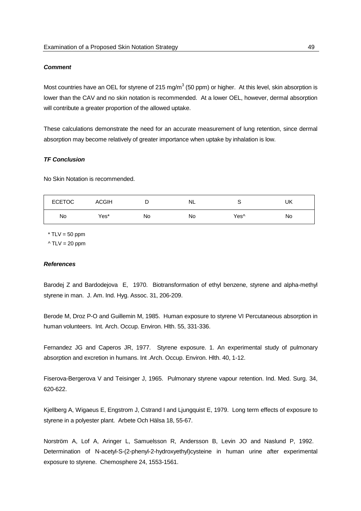#### *Comment*

Most countries have an OEL for styrene of 215 mg/m $^3$  (50 ppm) or higher. At this level, skin absorption is lower than the CAV and no skin notation is recommended. At a lower OEL, however, dermal absorption will contribute a greater proportion of the allowed uptake.

These calculations demonstrate the need for an accurate measurement of lung retention, since dermal absorption may become relatively of greater importance when uptake by inhalation is low.

## *TF Conclusion*

No Skin Notation is recommended.

| <b>ECETOC</b> | <b>ACGIH</b> |    | NL |      | UK |
|---------------|--------------|----|----|------|----|
| No            | Yes*         | No | No | Yes^ | No |

 $*$  TLV = 50 ppm  $\triangle TLV = 20$  ppm

#### *References*

Barodej Z and Bardodejova E, 1970. Biotransformation of ethyl benzene, styrene and alpha-methyl styrene in man. J. Am. Ind. Hyg. Assoc. 31, 206-209.

Berode M, Droz P-O and Guillemin M, 1985. Human exposure to styrene VI Percutaneous absorption in human volunteers. Int. Arch. Occup. Environ. Hlth. 55, 331-336.

Fernandez JG and Caperos JR, 1977. Styrene exposure. 1. An experimental study of pulmonary absorption and excretion in humans. Int .Arch. Occup. Environ. Hlth. 40, 1-12.

Fiserova-Bergerova V and Teisinger J, 1965. Pulmonary styrene vapour retention. Ind. Med. Surg. 34, 620-622.

Kjellberg A, Wigaeus E, Engstrom J, Cstrand I and Ljungquist E, 1979. Long term effects of exposure to styrene in a polyester plant. Arbete Och Hälsa 18, 55-67.

Norström A, Lof A, Aringer L, Samuelsson R, Andersson B, Levin JO and Naslund P, 1992. Determination of N-acetyl-S-(2-phenyl-2-hydroxyethyl)cysteine in human urine after experimental exposure to styrene. Chemosphere 24, 1553-1561.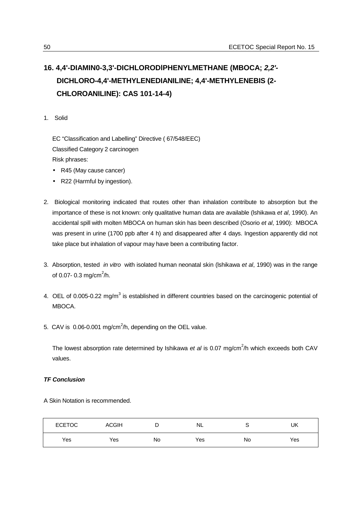# **16. 4,4'-DIAMIN0-3,3'-DICHLORODlPHENYLMETHANE (MBOCA;** *2,2'-* **DICHLORO-4,4'-METHYLENEDIANILINE; 4,4'-METHYLENEBIS (2- CHLOROANILINE): CAS 101-14-4)**

1. Solid

EC "Classification and Labelling" Directive ( 67/548/EEC) Classified Category 2 carcinogen Risk phrases:

- R45 (May cause cancer)
- R22 (Harmful by ingestion).
- 2. Biological monitoring indicated that routes other than inhalation contribute to absorption but the importance of these is not known: only qualitative human data are available (lshikawa *et al*, 1990). An accidental spill with molten MBOCA on human skin has been described (Osorio *et al*, 1990): MBOCA was present in urine (1700 ppb after 4 h) and disappeared after 4 days. Ingestion apparently did not take place but inhalation of vapour may have been a contributing factor.
- 3. Absorption, tested *in vitro* with isolated human neonatal skin (lshikawa *et al*, 1990) was in the range of 0.07- 0.3 mg/cm<sup>2</sup>/h.
- 4. OEL of 0.005-0.22 mg/m<sup>3</sup> is established in different countries based on the carcinogenic potential of MBOCA.
- 5. CAV is  $0.06$ -0.001 mg/cm<sup>2</sup>/h, depending on the OEL value.

The lowest absorption rate determined by Ishikawa *et al* is 0.07 mg/cm<sup>2</sup> /h which exceeds both CAV values.

## *TF Conclusion*

A Skin Notation is recommended.

| <b>ECETOC</b> | <b>ACGIH</b> |    | <b>NL</b> | ີ  | UK  |
|---------------|--------------|----|-----------|----|-----|
| Yes           | Yes          | No | Yes       | No | Yes |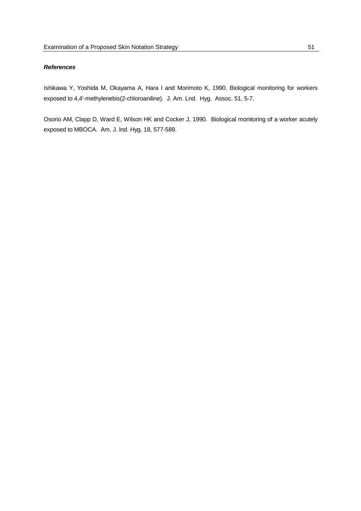## *References*

Ishikawa Y, Yoshida M, Okayama A, Hara I and Morimoto K, 1990. Biological monitoring for workers exposed to 4,4'-methylenebis(2-chloroaniline). J. Am. Lnd. Hyg. Assoc. 51, 5-7.

Osorio AM, Clapp D, Ward E, Wilson HK and Cocker J, 1990. Biological monitoring of a worker acutely exposed to MBOCA. Am. J. lnd. Hyg. 18, 577-589.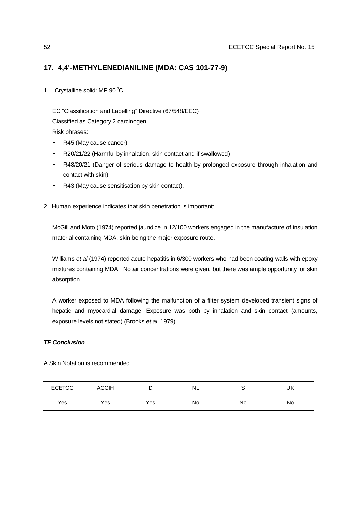# **17. 4,4'-METHYLENEDIANILINE (MDA: CAS 101-77-9)**

1. Crystalline solid: MP  $90^{\circ}$ C

EC "Classification and Labelling" Directive (67/548/EEC) Classified as Category 2 carcinogen Risk phrases:

- R45 (May cause cancer)
- R20/21/22 (Harmful by inhalation, skin contact and if swallowed)
- R48/20/21 (Danger of serious damage to health by prolonged exposure through inhalation and contact with skin)
- R43 (May cause sensitisation by skin contact).
- 2. Human experience indicates that skin penetration is important:

McGill and Moto (1974) reported jaundice in 12/100 workers engaged in the manufacture of insulation material containing MDA, skin being the major exposure route.

Williams *et al* (1974) reported acute hepatitis in 6/300 workers who had been coating walls with epoxy mixtures containing MDA. No air concentrations were given, but there was ample opportunity for skin absorption.

A worker exposed to MDA following the malfunction of a filter system developed transient signs of hepatic and myocardial damage. Exposure was both by inhalation and skin contact (amounts, exposure levels not stated) (Brooks *et al*, 1979).

## *TF Conclusion*

A Skin Notation is recommended.

| <b>ECETOC</b> | <b>ACGIH</b> | ັ   | NL | ◡  | UK |
|---------------|--------------|-----|----|----|----|
| Yes           | Yes          | Yes | No | No | No |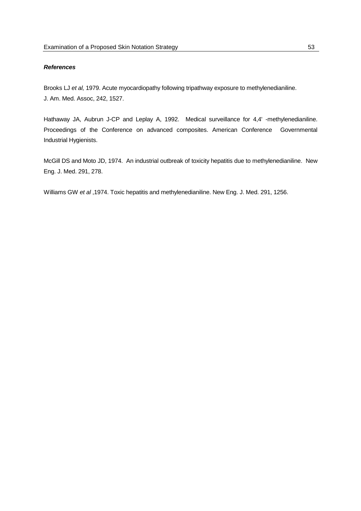## *References*

Brooks LJ *et al,* 1979. Acute myocardiopathy following tripathway exposure to methylenedianiline. J. Am. Med. Assoc, 242, 1527.

Hathaway JA, Aubrun J-CP and Leplay A, 1992. Medical surveillance for 4,4' -methylenedianiline. Proceedings of the Conference on advanced composites. American Conference Governmental Industrial Hygienists.

McGill DS and Moto JD, 1974. An industrial outbreak of toxicity hepatitis due to methylenedianiline. New Eng. J. Med. 291, 278.

Williams GW *et al* ,1974. Toxic hepatitis and methylenedianiline. New Eng. J. Med. 291, 1256.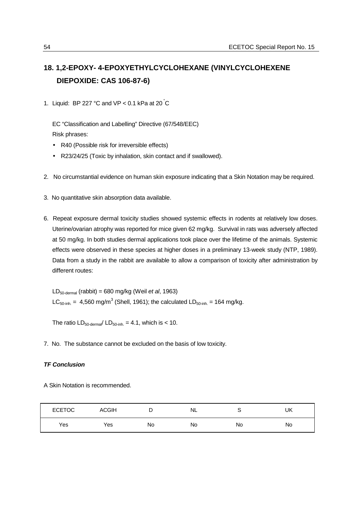# **18. 1,2-EPOXY- 4-EPOXYETHYLCYCLOHEXANE (VINYLCYCLOHEXENE DIEPOXIDE: CAS 106-87-6)**

1. Liquid: BP 227 °C and VP < 0.1 kPa at 20  $\degree$ C

EC "Classification and Labelling" Directive (67/548/EEC) Risk phrases:

- R40 (Possible risk for irreversible effects)
- R23/24/25 (Toxic by inhalation, skin contact and if swallowed).
- 2. No circumstantial evidence on human skin exposure indicating that a Skin Notation may be required.
- 3. No quantitative skin absorption data available.
- 6. Repeat exposure dermal toxicity studies showed systemic effects in rodents at relatively low doses. Uterine/ovarian atrophy was reported for mice given 62 mg/kg. Survival in rats was adversely affected at 50 mg/kg. In both studies dermal applications took place over the lifetime of the animals. Systemic effects were observed in these species at higher doses in a preliminary 13-week study (NTP, 1989). Data from a study in the rabbit are available to allow a comparison of toxicity after administration by different routes:

LD50-dermal (rabbit) = 680 mg/kg (Weil *et al*, 1963)  $LC_{50\text{-inh}} = 4,560 \text{ mg/m}^3$  (Shell, 1961); the calculated LD<sub>50-inh</sub> = 164 mg/kg.

The ratio  $LD_{50\text{-demal}}/LD_{50\text{-inh}} = 4.1$ , which is < 10.

7. No. The substance cannot be excluded on the basis of low toxicity.

#### *TF Conclusion*

A Skin Notation is recommended.

| <b>ECETOC</b> | <b>ACGIH</b> | ◡  | NL | u  | UK |
|---------------|--------------|----|----|----|----|
| Yes           | Yes          | No | No | No | No |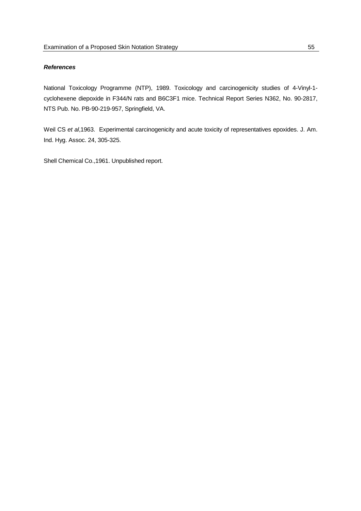## *References*

National Toxicology Programme (NTP), 1989. Toxicology and carcinogenicity studies of 4-Vinyl-1 cyclohexene diepoxide in F344/N rats and B6C3F1 mice. Technical Report Series N362, No. 90-2817, NTS Pub. No. PB-90-219-957, Springfield, VA.

Weil CS *et al*,1963. Experimental carcinogenicity and acute toxicity of representatives epoxides. J. Am. Ind. Hyg. Assoc. 24, 305-325.

Shell Chemical Co.,1961. Unpublished report.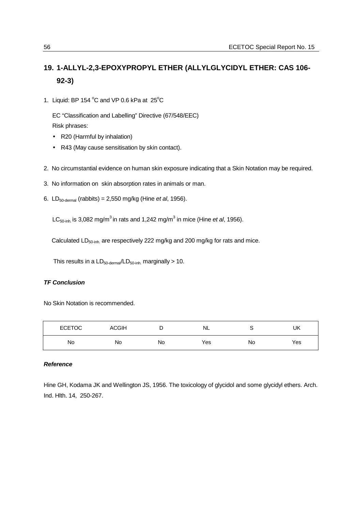# **19. 1-ALLYL-2,3-EPOXYPROPYL ETHER (ALLYLGLYCIDYL ETHER: CAS 106- 92-3)**

1. Liquid: BP 154  $^{\circ}$ C and VP 0.6 kPa at 25 $^{\circ}$ C

EC "Classification and Labelling" Directive (67/548/EEC) Risk phrases:

- R20 (Harmful by inhalation)
- R43 (May cause sensitisation by skin contact).
- 2. No circumstantial evidence on human skin exposure indicating that a Skin Notation may be required.
- 3. No information on skin absorption rates in animals or man.
- 6. LD50-dermal (rabbits) = 2,550 mg/kg (Hine *et al*, 1956).

LC<sub>50-inh</sub> is 3,082 mg/m<sup>3</sup> in rats and 1,242 mg/m<sup>3</sup> in mice (Hine *et al*, 1956).

Calculated LD<sub>50-inh</sub> are respectively 222 mg/kg and 200 mg/kg for rats and mice.

This results in a  $LD_{50\text{-dermal}}/LD_{50\text{-inh}}$  marginally > 10.

## *TF Conclusion*

No Skin Notation is recommended.

| <b>ECETOC</b> | <b>ACGIH</b> | ⋍  | NL  | -  | UK  |
|---------------|--------------|----|-----|----|-----|
| No            | No           | No | Yes | No | Yes |

## *Reference*

Hine GH, Kodama JK and Wellington JS, 1956. The toxicology of glycidol and some glycidyl ethers. Arch. Ind. Hlth. 14, 250-267.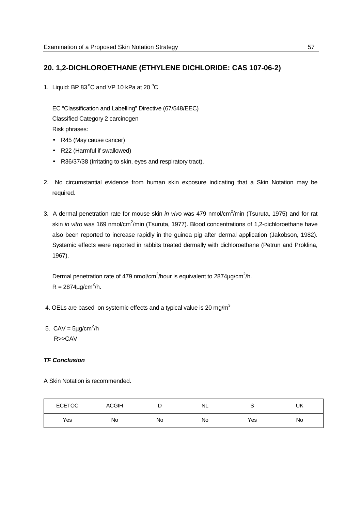# **20. 1,2-DICHLOROETHANE (ETHYLENE DICHLORIDE: CAS 107-06-2)**

1. Liquid: BP 83 $^{\circ}$ C and VP 10 kPa at 20 $^{\circ}$ C

EC "Classification and Labelling" Directive (67/548/EEC) Classified Category 2 carcinogen Risk phrases:

- R45 (May cause cancer)
- R22 (Harmful if swallowed)
- R36/37/38 (Irritating to skin, eyes and respiratory tract).
- 2. No circumstantial evidence from human skin exposure indicating that a Skin Notation may be required.
- 3. A dermal penetration rate for mouse skin *in vivo* was 479 nmol/cm<sup>2</sup>/min (Tsuruta, 1975) and for rat skin *in vitro* was 169 nmol/cm<sup>2</sup>/min (Tsuruta, 1977). Blood concentrations of 1,2-dichloroethane have also been reported to increase rapidly in the guinea pig after dermal application (Jakobson, 1982). Systemic effects were reported in rabbits treated dermally with dichloroethane (Petrun and Proklina, 1967).

Dermal penetration rate of 479 nmol/cm<sup>2</sup>/hour is equivalent to 2874 $\mu$ g/cm<sup>2</sup>/h.  $R = 2874 \mu g/cm^2/h$ .

- 4. OELs are based on systemic effects and a typical value is 20 mg/m<sup>3</sup>
- 5.  $CAV = 5 \mu g/cm^2/h$ R>>CAV

## *TF Conclusion*

A Skin Notation is recommended.

| <b>ECETOC</b> | <b>ACGIH</b> |    | NL. | w   | UK |
|---------------|--------------|----|-----|-----|----|
| Yes           | No           | No | No  | Yes | No |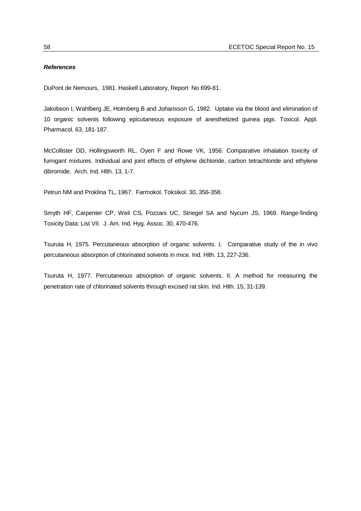#### *References*

DuPont de Nemours, 1981. Haskell Laboratory, Report No 699-81.

Jakobson I, Wahlberg JE, Holmberg B and Johansson G, 1982. Uptake via the blood and elimination of 10 organic solvents following epicutaneous exposure of anesthetized guinea pigs. Toxicol. Appl. Pharmacol. 63, 181-187.

McCollister DD, Hollingsworth RL, Oyen F and Rowe VK, 1956. Comparative inhalation toxicity of fumigant mixtures. Individual and joint effects of ethylene dichloride, carbon tetrachloride and ethylene dibromide. Arch. Ind. Hlth. 13, 1-7.

Petrun NM and Proklina TL, 1967. Farmokol. Toksikol. 30, 356-358.

Smyth HF, Carpenter CP, Weil CS, Pozzani UC, Striegel SA and Nycum JS, 1969. Range-finding Toxicity Data: List VII. J. Am. Ind. Hyg. Assoc. 30, 470-476.

Tsuruta H, 1975. Percutaneous absorption of organic solvents. I. Comparative study of the in vivo percutaneous absorption of chlorinated solvents in mice. Ind. Hlth. 13, 227-236.

Tsuruta H, 1977. Percutaneous absorption of organic solvents. II. A method for measuring the penetration rate of chlorinated solvents through excised rat skin. Ind. Hlth. 15, 31-139.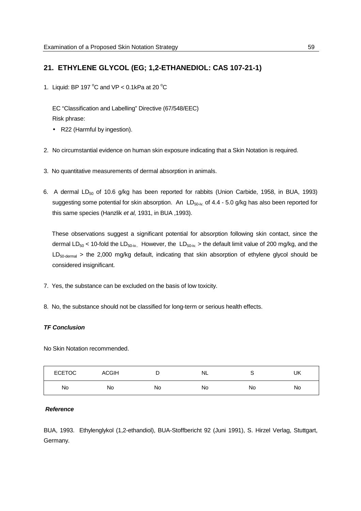# **21. ETHYLENE GLYCOL (EG; 1,2-ETHANEDIOL: CAS 107-21-1)**

1. Liquid: BP 197  $^{\circ}$ C and VP < 0.1kPa at 20  $^{\circ}$ C

EC "Classification and Labelling" Directive (67/548/EEC) Risk phrase:

- R22 (Harmful by ingestion).
- 2. No circumstantial evidence on human skin exposure indicating that a Skin Notation is required.
- 3. No quantitative measurements of dermal absorption in animals.
- 6. A dermal  $LD_{50}$  of 10.6 g/kg has been reported for rabbits (Union Carbide, 1958, in BUA, 1993) suggesting some potential for skin absorption. An  $LD_{50-iv}$  of 4.4 - 5.0 g/kg has also been reported for this same species (Hanzlik *et al,* 1931, in BUA ,1993).

These observations suggest a significant potential for absorption following skin contact, since the dermal LD<sub>50</sub> < 10-fold the LD<sub>50-iv.</sub> However, the LD<sub>50-iv.</sub> > the default limit value of 200 mg/kg, and the  $LD_{50\text{-dermal}}$  > the 2,000 mg/kg default, indicating that skin absorption of ethylene glycol should be considered insignificant.

- 7. Yes, the substance can be excluded on the basis of low toxicity.
- 8. No, the substance should not be classified for long-term or serious health effects.

#### *TF Conclusion*

No Skin Notation recommended.

| <b>ECETOC</b> | <b>ACGIH</b> | ◡  | NL |    | UK |
|---------------|--------------|----|----|----|----|
| No            | No           | No | No | No | No |

### *Reference*

BUA, 1993. Ethylenglykol (1,2-ethandiol), BUA-Stoffbericht 92 (Juni 1991), S. Hirzel Verlag, Stuttgart, Germany.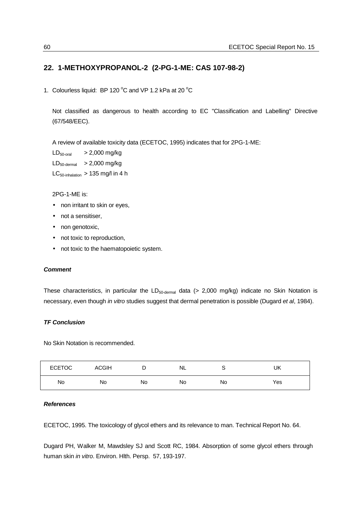# **22. 1-METHOXYPROPANOL-2 (2-PG-1-ME: CAS 107-98-2)**

1. Colourless liquid: BP 120  $^{\circ}$ C and VP 1.2 kPa at 20  $^{\circ}$ C

Not classified as dangerous to health according to EC "Classification and Labelling" Directive (67/548/EEC).

A review of available toxicity data (ECETOC, 1995) indicates that for 2PG-1-ME:

| $LD_{50\text{-}oral}$   | $> 2,000$ mg/kg                                       |
|-------------------------|-------------------------------------------------------|
| $LD_{50\text{-dermal}}$ | $> 2,000$ mg/kg                                       |
|                         | $LC_{50\text{-inhalation}} > 135 \text{ mg/l}$ in 4 h |

2PG-1-ME is:

- non irritant to skin or eyes,
- not a sensitiser,
- non genotoxic,
- not toxic to reproduction,
- not toxic to the haematopoietic system.

## *Comment*

These characteristics, in particular the  $LD_{50\text{-demal}}$  data (> 2,000 mg/kg) indicate no Skin Notation is necessary, even though *in vitro* studies suggest that dermal penetration is possible (Dugard *et al*, 1984).

## *TF Conclusion*

No Skin Notation is recommended.

| <b>ECETOC</b> | <b>ACGIH</b> | -  | NL | ◡  | UK  |
|---------------|--------------|----|----|----|-----|
| No            | No           | No | No | No | Yes |

### *References*

ECETOC, 1995. The toxicology of glycol ethers and its relevance to man. Technical Report No. 64.

Dugard PH, Walker M, Mawdsley SJ and Scott RC, 1984. Absorption of some glycol ethers through human skin *in vitro*. Environ. Hlth. Persp. 57, 193-197.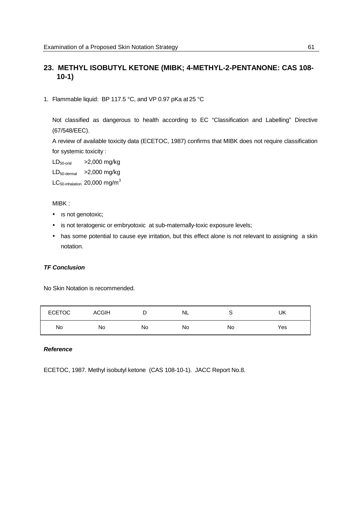# **23. METHYL ISOBUTYL KETONE (MIBK; 4-METHYL-2-PENTANONE: CAS 108- 10-1)**

1. Flammable liquid: BP 117.5 °C, and VP 0.97 pKa at 25 °C

Not classified as dangerous to health according to EC "Classification and Labelling" Directive (67/548/EEC).

A review of available toxicity data (ECETOC, 1987) confirms that MIBK does not require classification for systemic toxicity :

 $LD_{50\text{-oral}}$  >2,000 mg/kg  $LD_{50\text{-dermal}}$  >2,000 mg/kg

 $LC_{50\text{-inhalation}}$  20,000 mg/m<sup>3</sup>

MIBK :

- Is not genotoxic;
- is not teratogenic or embryotoxic at sub-maternally-toxic exposure levels;
- has some potential to cause eye irritation, but this effect alone is not relevant to assigning a skin notation.

## *TF Conclusion*

No Skin Notation is recommended.

| <b>ECETOC</b> | <b>ACGIH</b> | -  | NL | ╰  | UK  |
|---------------|--------------|----|----|----|-----|
| No            | No           | No | No | No | Yes |

## *Reference*

ECETOC, 1987. Methyl isobutyl ketone (CAS 108-10-1). JACC Report No.8.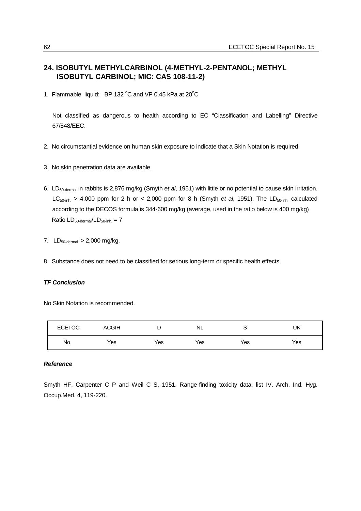# **24. ISOBUTYL METHYLCARBINOL (4-METHYL-2-PENTANOL; METHYL ISOBUTYL CARBINOL; MIC: CAS 108-11-2)**

1. Flammable liquid: BP 132  $^{\circ}$ C and VP 0.45 kPa at 20 $^{\circ}$ C

Not classified as dangerous to health according to EC "Classification and Labelling" Directive 67/548/EEC.

- 2. No circumstantial evidence on human skin exposure to indicate that a Skin Notation is required.
- 3. No skin penetration data are available.
- 6. LD50-dermal in rabbits is 2,876 mg/kg (Smyth *et al*, 1951) with little or no potential to cause skin irritation. LC<sub>50-inh.</sub> > 4,000 ppm for 2 h or < 2,000 ppm for 8 h (Smyth *et al*, 1951). The LD<sub>50-inh</sub> calculated according to the DECOS formula is 344-600 mg/kg (average, used in the ratio below is 400 mg/kg)  $Ratio LD<sub>50-dermal</sub>/LD<sub>50-inh</sub> = 7$
- 7.  $LD_{50\text{-dermal}} > 2,000 \text{ mg/kg}$ .
- 8. Substance does not need to be classified for serious long-term or specific health effects.

## *TF Conclusion*

No Skin Notation is recommended.

| <b>ECETOC</b> | <b>ACGIH</b> | ◡   | <b>NL</b> | ∼   | UK  |
|---------------|--------------|-----|-----------|-----|-----|
| No            | Yes          | Yes | Yes       | Yes | Yes |

# *Reference*

Smyth HF, Carpenter C P and Weil C S, 1951. Range-finding toxicity data, list IV. Arch. Ind. Hyg. Occup.Med. 4, 119-220.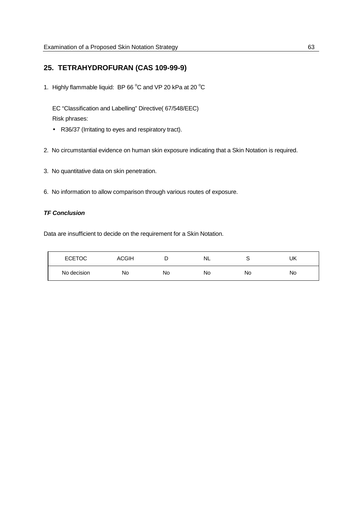# **25. TETRAHYDROFURAN (CAS 109-99-9)**

1. Highly flammable liquid: BP 66 $^{\circ}$ C and VP 20 kPa at 20 $^{\circ}$ C

EC "Classification and Labelling" Directive( 67/548/EEC) Risk phrases:

- R36/37 (Irritating to eyes and respiratory tract).
- 2. No circumstantial evidence on human skin exposure indicating that a Skin Notation is required.
- 3. No quantitative data on skin penetration.
- 6. No information to allow comparison through various routes of exposure.

## *TF Conclusion*

Data are insufficient to decide on the requirement for a Skin Notation.

| <b>ECETOC</b> | <b>ACGIH</b> |    | NL. |    | UK |
|---------------|--------------|----|-----|----|----|
| No decision   | No           | No | No  | No | No |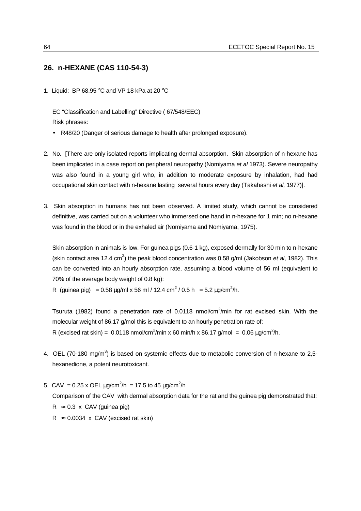## **26. n-HEXANE (CAS 110-54-3)**

1. Liquid: BP 68.95 °C and VP 18 kPa at 20 °C

EC "Classification and Labelling" Directive ( 67/548/EEC) Risk phrases:

- R48/20 (Danger of serious damage to health after prolonged exposure).
- 2. No. [There are only isolated reports implicating dermal absorption. Skin absorption of n-hexane has been implicated in a case report on peripheral neuropathy (Nomiyama *et al* 1973). Severe neuropathy was also found in a young girl who, in addition to moderate exposure by inhalation, had had occupational skin contact with n-hexane lasting several hours every day (Takahashi *et al,* 1977)].
- 3. Skin absorption in humans has not been observed. A limited study, which cannot be considered definitive, was carried out on a volunteer who immersed one hand in n-hexane for 1 min; no n-hexane was found in the blood or in the exhaled air (Nomiyama and Nomiyama, 1975).

Skin absorption in animals is low. For guinea pigs (0.6-1 kg), exposed dermally for 30 min to n-hexane (skin contact area 12.4 cm<sup>2</sup>) the peak blood concentration was 0.58 g/ml (Jakobson *et al*, 1982). This can be converted into an hourly absorption rate, assuming a blood volume of 56 ml (equivalent to 70% of the average body weight of 0.8 kg):

R (guinea pig) = 0.58  $\mu$ g/ml x 56 ml / 12.4 cm<sup>2</sup> / 0.5 h = 5.2  $\mu$ g/cm<sup>2</sup>/h.

Tsuruta (1982) found a penetration rate of 0.0118 nmol/cm<sup>2</sup>/min for rat excised skin. With the molecular weight of 86.17 g/mol this is equivalent to an hourly penetration rate of: R (excised rat skin) =  $0.0118$  nmol/cm<sup>2</sup>/min x 60 min/h x 86.17 g/mol =  $0.06 \mu$ g/cm<sup>2</sup>/h.

- 4. OEL (70-180 mg/m<sup>3</sup>) is based on systemic effects due to metabolic conversion of n-hexane to 2,5hexanedione, a potent neurotoxicant.
- 5. CAV = 0.25 x OEL μg/cm<sup>2</sup>/h = 17.5 to 45 μg/cm<sup>2</sup>/h Comparison of the CAV with dermal absorption data for the rat and the guinea pig demonstrated that:  $R \approx 0.3 \times CAV$  (guinea pig)  $R \approx 0.0034 \times CAV$  (excised rat skin)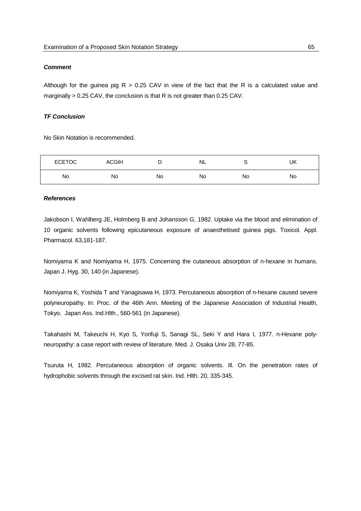### *Comment*

Although for the guinea pig  $R > 0.25$  CAV in view of the fact that the R is a calculated value and marginally > 0.25 CAV, the conclusion is that R is not greater than 0.25 CAV.

## *TF Conclusion*

No Skin Notation is recommended.

| <b>ECETOC</b> | <b>ACGIH</b> |    | NL. |    | UK |
|---------------|--------------|----|-----|----|----|
| No            | No           | No | No  | No | No |

#### *References*

Jakobson I, Wahlberg JE, Holmberg B and Johansson G, 1982. Uptake via the blood and elimination of 10 organic solvents following epicutaneous exposure of anaesthetised guinea pigs. Toxicol. Appl. Pharmacol. 63,181-187.

Nomiyama K and Nomiyama H, 1975. Concerning the cutaneous absorption of n-hexane in humans. Japan J. Hyg. 30, 140 (in Japanese).

Nomiyama K, Yoshida T and Yanagisawa H, 1973. Percutaneous absorption of n-hexane caused severe polyneuropathy. In: Proc. of the 46th Ann. Meeting of the Japanese Association of Industrial Health, Tokyo. Japan Ass. Ind.Hlth., 560-561 (in Japanese).

Takahashi M, Takeuchi H, Kyo S, Yorifuji S, Sanagi SL, Seki Y and Hara I, 1977. n-Hexane polyneuropathy: a case report with review of literature. Med. J. Osaka Univ 28, 77-85.

Tsuruta H, 1982. Percutaneous absorption of organic solvents. Ill. On the penetration rates of hydrophobic solvents through the excised rat skin. Ind. Hlth. 20, 335-345.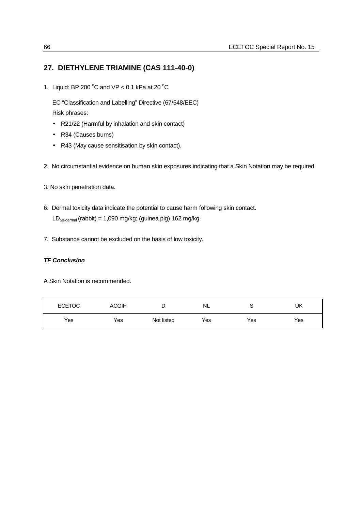# **27. DIETHYLENE TRIAMINE (CAS 111-40-0)**

1. Liquid: BP 200  $^{\circ}$ C and VP < 0.1 kPa at 20  $^{\circ}$ C

EC "Classification and Labelling" Directive (67/548/EEC) Risk phrases:

- R21/22 (Harmful by inhalation and skin contact)
- R34 (Causes burns)
- R43 (May cause sensitisation by skin contact).
- 2. No circumstantial evidence on human skin exposures indicating that a Skin Notation may be required.
- 3. No skin penetration data.
- 6. Dermal toxicity data indicate the potential to cause harm following skin contact. LD<sub>50-dermal</sub> (rabbit) = 1,090 mg/kg; (guinea pig) 162 mg/kg.
- 7. Substance cannot be excluded on the basis of low toxicity.

## *TF Conclusion*

A Skin Notation is recommended.

| <b>ECETOC</b> | <b>ACGIH</b> | ┕          | <b>NL</b> |     | UK  |
|---------------|--------------|------------|-----------|-----|-----|
| Yes           | Yes          | Not listed | Yes       | Yes | Yes |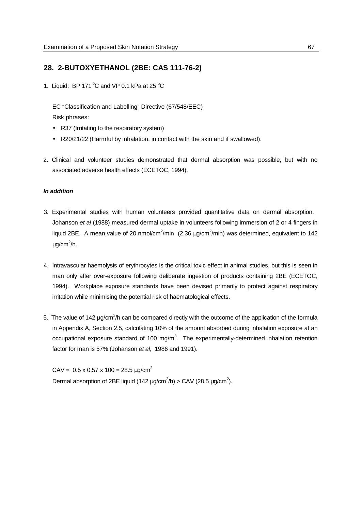### **28. 2-BUTOXYETHANOL (2BE: CAS 111-76-2)**

1. Liquid: BP 171 $\mathrm{^0C}$  and VP 0.1 kPa at 25  $\mathrm{^0C}$ 

EC "Classification and Labelling" Directive (67/548/EEC) Risk phrases:

- R37 (Irritating to the respiratory system)
- R20/21/22 (Harmful by inhalation, in contact with the skin and if swallowed).
- 2. Clinical and volunteer studies demonstrated that dermal absorption was possible, but with no associated adverse health effects (ECETOC, 1994).

#### *In addition*

- 3. Experimental studies with human volunteers provided quantitative data on dermal absorption. Johanson *et al* (1988) measured dermal uptake in volunteers following immersion of 2 or 4 fingers in liquid 2BE. A mean value of 20 nmol/cm<sup>2</sup>/min (2.36  $\mu$ g/cm<sup>2</sup>/min) was determined, equivalent to 142 µg/cm<sup>2</sup>/h.
- 4. Intravascular haemolysis of erythrocytes is the critical toxic effect in animal studies, but this is seen in man only after over-exposure following deliberate ingestion of products containing 2BE (ECETOC, 1994). Workplace exposure standards have been devised primarily to protect against respiratory irritation while minimising the potential risk of haematological effects.
- 5. The value of 142  $\mu$ g/cm<sup>2</sup>/h can be compared directly with the outcome of the application of the formula in Appendix A, Section 2.5, calculating 10% of the amount absorbed during inhalation exposure at an occupational exposure standard of 100 mg/m<sup>3</sup>. The experimentally-determined inhalation retention factor for man is 57% (Johanson *et al*, 1986 and 1991).

 $CAV = 0.5 \times 0.57 \times 100 = 28.5 \text{ uq/cm}^2$ Dermal absorption of 2BE liquid (142  $\mu$ g/cm<sup>2</sup>/h) > CAV (28.5  $\mu$ g/cm<sup>2</sup>).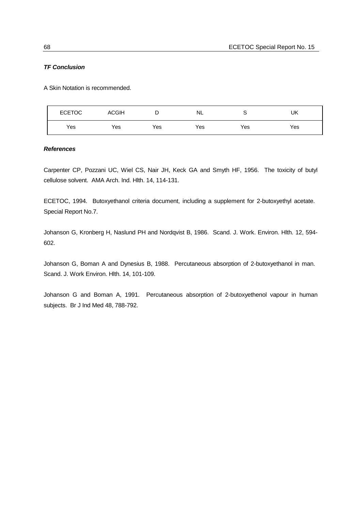#### *TF Conclusion*

A Skin Notation is recommended.

| <b>ECETOC</b> | <b>ACGIH</b> | ◡   | <b>NL</b> | ◡   | UK  |
|---------------|--------------|-----|-----------|-----|-----|
| Yes           | Yes          | Yes | Yes       | Yes | Yes |

#### *References*

Carpenter CP, Pozzani UC, Wiel CS, Nair JH, Keck GA and Smyth HF, 1956. The toxicity of butyl cellulose solvent. AMA Arch. Ind. Hlth. 14, 114-131.

ECETOC, 1994. Butoxyethanol criteria document, including a supplement for 2-butoxyethyl acetate. Special Report No.7.

Johanson G, Kronberg H, Naslund PH and Nordqvist B, 1986. Scand. J. Work. Environ. Hlth. 12, 594- 602.

Johanson G, Boman A and Dynesius B, 1988. Percutaneous absorption of 2-butoxyethanol in man. Scand. J. Work Environ. Hlth. 14, 101-109.

Johanson G and Boman A, 1991. Percutaneous absorption of 2-butoxyethenol vapour in human subjects. Br J Ind Med 48, 788-792.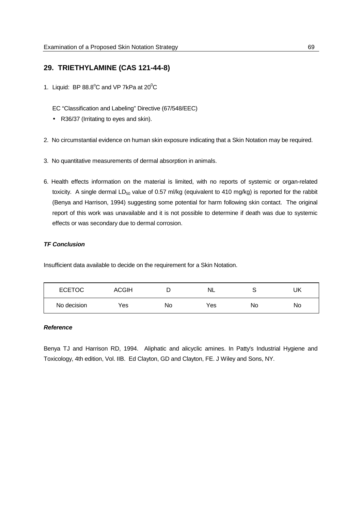## **29. TRIETHYLAMINE (CAS 121-44-8)**

1. Liquid: BP  $88.8^{\circ}$ C and VP 7kPa at  $20^{\circ}$ C

EC "Classification and Labeling" Directive (67/548/EEC)

- R36/37 (Irritating to eyes and skin).
- 2. No circumstantial evidence on human skin exposure indicating that a Skin Notation may be required.
- 3. No quantitative measurements of dermal absorption in animals.
- 6. Health effects information on the material is limited, with no reports of systemic or organ-related toxicity. A single dermal LD<sub>50</sub> value of 0.57 ml/kg (equivalent to 410 mg/kg) is reported for the rabbit (Benya and Harrison, 1994) suggesting some potential for harm following skin contact. The original report of this work was unavailable and it is not possible to determine if death was due to systemic effects or was secondary due to dermal corrosion.

#### *TF Conclusion*

Insufficient data available to decide on the requirement for a Skin Notation.

| <b>ECETOC</b> | <b>ACGIH</b> |    | <b>NL</b> |    | UΚ |
|---------------|--------------|----|-----------|----|----|
| No decision   | Yes          | No | Yes       | No | No |

#### *Reference*

Benya TJ and Harrison RD, 1994. Aliphatic and alicyclic amines. In Patty's Industrial Hygiene and Toxicology, 4th edition, Vol. IIB. Ed Clayton, GD and Clayton, FE. J Wiley and Sons, NY.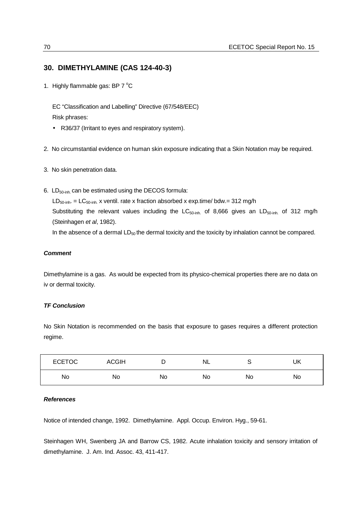## **30. DIMETHYLAMINE (CAS 124-40-3)**

1. Highly flammable gas: BP  $7^{\circ}$ C

EC "Classification and Labelling" Directive (67/548/EEC) Risk phrases:

- R36/37 (Irritant to eyes and respiratory system).
- 2. No circumstantial evidence on human skin exposure indicating that a Skin Notation may be required.
- 3. No skin penetration data.
- 6.  $LD_{50\text{-inh}}$  can be estimated using the DECOS formula:

 $LD_{50\text{-inh}} = LC_{50\text{-inh}}$  x ventil. rate x fraction absorbed x exp.time/ bdw.= 312 mg/h Substituting the relevant values including the LC<sub>50-inh.</sub> of 8,666 gives an LD<sub>50-inh</sub> of 312 mg/h (Steinhagen *et al*, 1982).

In the absence of a dermal  $LD_{50}$  the dermal toxicity and the toxicity by inhalation cannot be compared.

#### *Comment*

Dimethylamine is a gas. As would be expected from its physico-chemical properties there are no data on iv or dermal toxicity.

#### *TF Conclusion*

No Skin Notation is recommended on the basis that exposure to gases requires a different protection regime.

| <b>ECETOC</b> | <b>ACGIH</b> | ┍<br>υ | <b>NL</b> |    | UK |
|---------------|--------------|--------|-----------|----|----|
| No            | No           | No     | No        | No | No |

#### *References*

Notice of intended change, 1992. Dimethylamine. Appl. Occup. Environ. Hyg., 59-61.

Steinhagen WH, Swenberg JA and Barrow CS, 1982. Acute inhalation toxicity and sensory irritation of dimethylamine. J. Am. Ind. Assoc. 43, 411-417.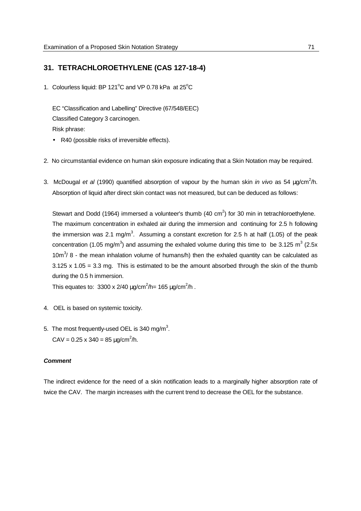### **31.****TETRACHLOROETHYLENE (CAS 127-18-4)**

1. Colourless liquid: BP 121 $^{\circ}$ C and VP 0.78 kPa at 25 $^{\circ}$ C

EC "Classification and Labelling" Directive (67/548/EEC) Classified Category 3 carcinogen. Risk phrase:

- R40 (possible risks of irreversible effects).
- 2. No circumstantial evidence on human skin exposure indicating that a Skin Notation may be required.
- 3. McDougal et al (1990) quantified absorption of vapour by the human skin *in vivo* as 54 µg/cm<sup>2</sup>/h. Absorption of liquid after direct skin contact was not measured, but can be deduced as follows:

Stewart and Dodd (1964) immersed a volunteer's thumb (40 cm<sup>2</sup>) for 30 min in tetrachloroethylene. The maximum concentration in exhaled air during the immersion and continuing for 2.5 h following the immersion was 2.1 mg/m<sup>3</sup>. Assuming a constant excretion for 2.5 h at half (1.05) of the peak concentration (1.05 mg/m<sup>3</sup>) and assuming the exhaled volume during this time to be 3.125 m<sup>3</sup> (2.5x 10 $\text{m}^3$ / 8 - the mean inhalation volume of humans/h) then the exhaled quantity can be calculated as 3.125 x 1.05 = 3.3 mg. This is estimated to be the amount absorbed through the skin of the thumb during the 0.5 h immersion.

This equates to: 3300 x 2/40  $\mu$ g/cm<sup>2</sup>/h= 165  $\mu$ g/cm<sup>2</sup>/h.

- 4. OEL is based on systemic toxicity.
- 5. The most frequently-used OEL is 340 mg/m<sup>3</sup>. CAV =  $0.25 \times 340 = 85 \mu g/cm^2/h$ .

#### *Comment*

The indirect evidence for the need of a skin notification leads to a marginally higher absorption rate of twice the CAV. The margin increases with the current trend to decrease the OEL for the substance.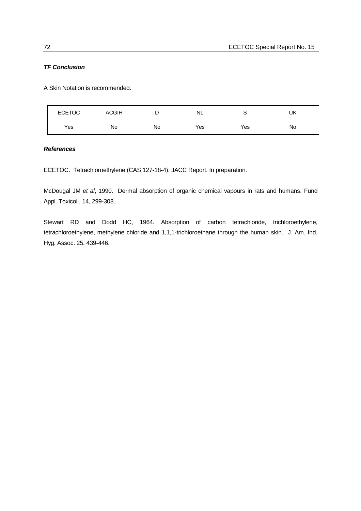#### *TF Conclusion*

A Skin Notation is recommended.

| <b>ECETOC</b> | <b>ACGIH</b> | ∽  | NL  |     | UK |
|---------------|--------------|----|-----|-----|----|
| Yes           | No           | No | Yes | Yes | No |

#### *References*

ECETOC. Tetrachloroethylene (CAS 127-18-4). JACC Report. In preparation.

McDougal JM *et al*, 1990. Dermal absorption of organic chemical vapours in rats and humans. Fund Appl. Toxicol., 14, 299-308.

Stewart RD and Dodd HC, 1964. Absorption of carbon tetrachloride, trichloroethylene, tetrachloroethylene, methylene chloride and 1,1,1-trichloroethane through the human skin. J. Am. Ind. Hyg. Assoc. 25, 439-446.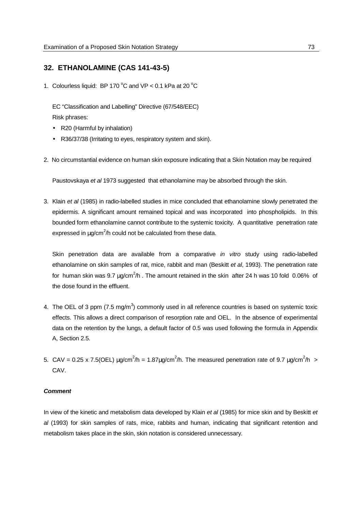#### **32. ETHANOLAMINE (CAS 141-43-5)**

1. Colourless liquid: BP 170  $^{\circ}$ C and VP < 0.1 kPa at 20  $^{\circ}$ C

EC "Classification and Labelling" Directive (67/548/EEC) Risk phrases:

- R20 (Harmful by inhalation)
- R36/37/38 (Irritating to eyes, respiratory system and skin).
- 2. No circumstantial evidence on human skin exposure indicating that a Skin Notation may be required

Paustovskaya *et al* 1973 suggested that ethanolamine may be absorbed through the skin.

3. Klain *et al* (1985) in radio-labelled studies in mice concluded that ethanolamine slowly penetrated the epidermis. A significant amount remained topical and was incorporated into phospholipids. In this bounded form ethanolamine cannot contribute to the systemic toxicity. A quantitative penetration rate expressed in  $\mu$ g/cm<sup>2</sup>/h could not be calculated from these data.

Skin penetration data are available from a comparative *in vitro* study using radio-labelled ethanolamine on skin samples of rat, mice, rabbit and man (Beskitt *et al*, 1993). The penetration rate for human skin was 9.7  $\mu$ g/cm<sup>2</sup>/h. The amount retained in the skin after 24 h was 10 fold 0.06% of the dose found in the effluent.

- 4. The OEL of 3 ppm (7.5 mg/m<sup>3</sup>) commonly used in all reference countries is based on systemic toxic effects. This allows a direct comparison of resorption rate and OEL. In the absence of experimental data on the retention by the lungs, a default factor of 0.5 was used following the formula in Appendix A, Section 2.5.
- 5. CAV = 0.25 x 7.5(OEL)  $\mu$ g/cm<sup>2</sup>/h = 1.87 $\mu$ g/cm<sup>2</sup>/h. The measured penetration rate of 9.7  $\mu$ g/cm<sup>2</sup>/h > CAV.

#### *Comment*

In view of the kinetic and metabolism data developed by Klain *et al* (1985) for mice skin and by Beskitt *et al* (1993) for skin samples of rats, mice, rabbits and human, indicating that significant retention and metabolism takes place in the skin, skin notation is considered unnecessary.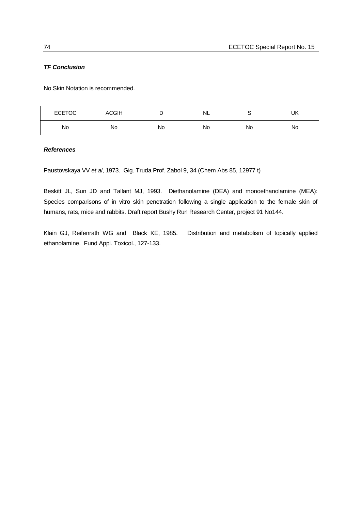#### *TF Conclusion*

No Skin Notation is recommended.

| <b>ECETOC</b> | <b>ACGIH</b> | ◡  | NL | ∽  | UK |
|---------------|--------------|----|----|----|----|
| No            | No           | No | No | No | No |

*References*

Paustovskaya VV *et al*, 1973. Gig. Truda Prof. Zabol 9, 34 (Chem Abs 85, 12977 t)

Beskitt JL, Sun JD and Tallant MJ, 1993. Diethanolamine (DEA) and monoethanolamine (MEA): Species comparisons of in vitro skin penetration following a single application to the female skin of humans, rats, mice and rabbits. Draft report Bushy Run Research Center, project 91 No144.

Klain GJ, Reifenrath WG and Black KE, 1985. Distribution and metabolism of topically applied ethanolamine. Fund Appl. Toxicol., 127-133.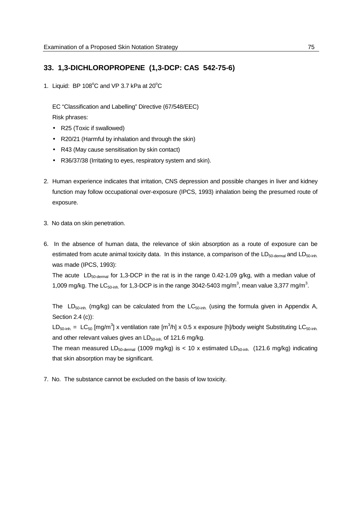## **33. 1,3-DICHLOROPROPENE (1,3-DCP: CAS 542-75-6)**

1. Liquid: BP  $108^{\circ}$ C and VP 3.7 kPa at  $20^{\circ}$ C

EC "Classification and Labelling" Directive (67/548/EEC) Risk phrases:

- R25 (Toxic if swallowed)
- R20/21 (Harmful by inhalation and through the skin)
- R43 (May cause sensitisation by skin contact)
- R36/37/38 (Irritating to eyes, respiratory system and skin).
- 2. Human experience indicates that irritation, CNS depression and possible changes in liver and kidney function may follow occupational over-exposure (IPCS, 1993) inhalation being the presumed route of exposure.
- 3. No data on skin penetration.
- 6. In the absence of human data, the relevance of skin absorption as a route of exposure can be estimated from acute animal toxicity data. In this instance, a comparison of the  $LD_{50\text{-}demal}$  and  $LD_{50\text{-}inh.}$ was made (IPCS, 1993):

The acute  $LD_{50\text{-demal}}$  for 1,3-DCP in the rat is in the range 0.42-1.09 g/kg, with a median value of 1,009 mg/kg. The LC<sub>50-inh.</sub> for 1,3-DCP is in the range 3042-5403 mg/m<sup>3</sup>, mean value 3,377 mg/m<sup>3</sup>.

The LD<sub>50-inh</sub>. (mg/kg) can be calculated from the LC<sub>50-inh</sub>. (using the formula given in Appendix A, Section 2.4 (c)):

LD<sub>50-inh.</sub> = LC<sub>50</sub> [mg/m<sup>3</sup>] x ventilation rate [m<sup>3</sup>/h] x 0.5 x exposure [h]/body weight Substituting LC<sub>50-inh.</sub> and other relevant values gives an  $LD_{50\text{-inh}}$  of 121.6 mg/kg.

The mean measured LD<sub>50-dermal</sub> (1009 mg/kg) is < 10 x estimated LD<sub>50-inh.</sub> (121.6 mg/kg) indicating that skin absorption may be significant.

7. No. The substance cannot be excluded on the basis of low toxicity.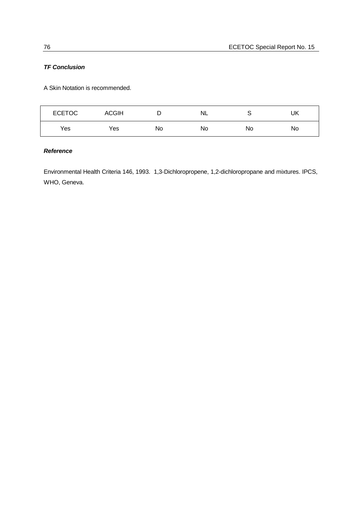### *TF Conclusion*

A Skin Notation is recommended.

| <b>ECETOC</b> | <b>ACGIH</b> | ◡  | <b>NL</b> |    | UK |
|---------------|--------------|----|-----------|----|----|
| Yes           | Yes          | No | No        | No | No |

## *Reference*

Environmental Health Criteria 146, 1993. 1,3-Dichloropropene, 1,2-dichloropropane and mixtures. IPCS, WHO, Geneva.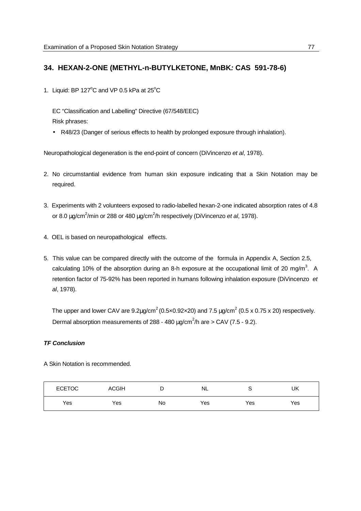## **34. HEXAN-2-ONE (METHYL-n-BUTYLKETONE, MnBK***:* **CAS 591-78-6)**

1. Liquid: BP 127 $^{\circ}$ C and VP 0.5 kPa at 25 $^{\circ}$ C

EC "Classification and Labelling" Directive (67/548/EEC) Risk phrases:

• R48/23 (Danger of serious effects to health by prolonged exposure through inhalation).

Neuropathological degeneration is the end-point of concern (DiVincenzo *et al*, 1978).

- 2. No circumstantial evidence from human skin exposure indicating that a Skin Notation may be required.
- 3. Experiments with 2 volunteers exposed to radio-labelled hexan-2-one indicated absorption rates of 4.8 or 8.0 μg/cm<sup>2</sup>/min or 288 or 480 μg/cm<sup>2</sup>/h respectively (DiVincenzo *et al*, 1978).
- 4. OEL is based on neuropathological effects.
- 5. This value can be compared directly with the outcome of the formula in Appendix A, Section 2.5, calculating 10% of the absorption during an 8-h exposure at the occupational limit of 20 mg/m<sup>3</sup>. A retention factor of 75-92% has been reported in humans following inhalation exposure (DiVincenzo *et al*, 1978).

The upper and lower CAV are  $9.2 \mu$ g/cm<sup>2</sup> (0.5x0.92x20) and 7.5  $\mu$ g/cm<sup>2</sup> (0.5 x 0.75 x 20) respectively. Dermal absorption measurements of 288 - 480  $\mu$ g/cm<sup>2</sup>/h are > CAV (7.5 - 9.2).

#### *TF Conclusion*

A Skin Notation is recommended.

| <b>ECETOC</b> | <b>ACGIH</b> | L  | NL  | U   | UK  |
|---------------|--------------|----|-----|-----|-----|
| Yes           | Yes          | No | Yes | Yes | Yes |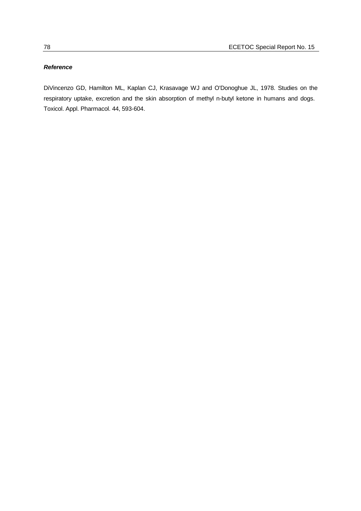#### *Reference*

DiVincenzo GD, Hamilton ML, Kaplan CJ, Krasavage WJ and O'Donoghue JL, 1978. Studies on the respiratory uptake, excretion and the skin absorption of methyl n-butyl ketone in humans and dogs. Toxicol. Appl. Pharmacol. 44, 593-604.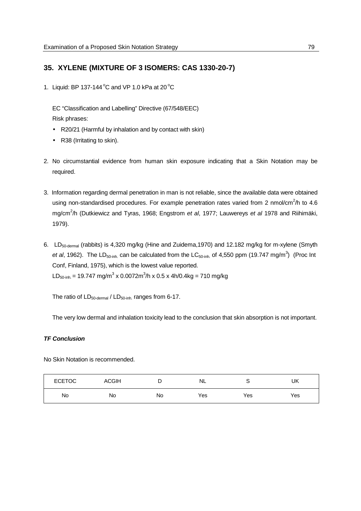## **35. XYLENE (MIXTURE OF 3 ISOMERS: CAS 1330-20-7)**

1. Liquid: BP 137-144 $^{\circ}$ C and VP 1.0 kPa at 20 $^{\circ}$ C

EC "Classification and Labelling" Directive (67/548/EEC) Risk phrases:

- R20/21 (Harmful by inhalation and by contact with skin)
- R38 (Irritating to skin).
- 2. No circumstantial evidence from human skin exposure indicating that a Skin Notation may be required.
- 3. Information regarding dermal penetration in man is not reliable, since the available data were obtained using non-standardised procedures. For example penetration rates varied from 2 nmol/cm<sup>2</sup>/h to 4.6 mg/cm<sup>2</sup> /h (Dutkiewicz and Tyras, 1968; Engstrom *et al*, 1977; Lauwereys *et al* 1978 and Riihimäki, 1979).
- 6. LD50-dermal (rabbits) is 4,320 mg/kg (Hine and Zuidema,1970) and 12.182 mg/kg for m-xylene (Smyth et al, 1962). The LD<sub>50-inh</sub> can be calculated from the LC<sub>50-inh</sub> of 4,550 ppm (19.747 mg/m<sup>3</sup>) (Proc Int Conf, Finland, 1975), which is the lowest value reported.  $LD_{50\text{-inh}} = 19.747 \text{ mg/m}^3 \times 0.0072 \text{m}^3/\text{h} \times 0.5 \times 4 \text{h}/0.4 \text{kg} = 710 \text{ mg/kg}$

The ratio of  $LD_{50\text{-demal}} / LD_{50\text{-inh}}$  ranges from 6-17.

The very low dermal and inhalation toxicity lead to the conclusion that skin absorption is not important.

#### *TF Conclusion*

No Skin Notation is recommended.

| <b>ECETOC</b> | <b>ACGIH</b> | ⋍  | NL  |     | UK  |
|---------------|--------------|----|-----|-----|-----|
| No            | No           | No | Yes | Yes | Yes |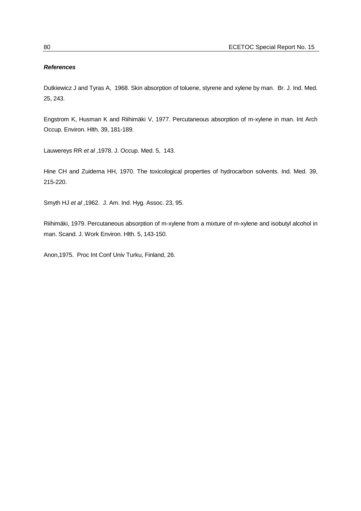#### *References*

Dutkiewicz J and Tyras A, 1968. Skin absorption of toluene, styrene and xylene by man. Br. J. Ind. Med. 25, 243.

Engstrom K, Husman K and Riihimäki V, 1977. Percutaneous absorption of m-xylene in man. Int Arch Occup. Environ. Hlth. 39, 181-189.

Lauwereys RR *et al* ,1978. J. Occup. Med. 5, 143.

Hine CH and Zuidema HH, 1970. The toxicological properties of hydrocarbon solvents. Ind. Med. 39, 215-220.

Smyth HJ *et al* ,1962. J. Am. Ind. Hyg. Assoc. 23, 95.

Riihimäki, 1979. Percutaneous absorption of m-xylene from a mixture of m-xylene and isobutyl alcohol in man. Scand. J. Work Environ. Hlth. 5, 143-150.

Anon,1975. Proc Int Conf Univ Turku, Finland, 26.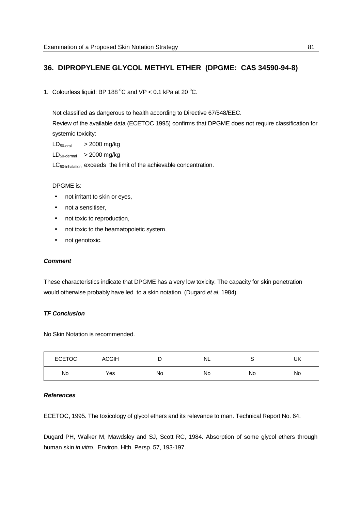## **36. DIPROPYLENE GLYCOL METHYL ETHER (DPGME: CAS 34590-94-8)**

1. Colourless liquid: BP 188  $^{\circ}$ C and VP < 0.1 kPa at 20  $^{\circ}$ C.

Not classified as dangerous to health according to Directive 67/548/EEC. Review of the available data (ECETOC 1995) confirms that DPGME does not require classification for systemic toxicity:

 $LD_{50\text{-oral}}$  > 2000 mg/kg  $LD_{50\text{-dermal}}$  > 2000 mg/kg LC<sub>50-inhalation</sub> exceeds the limit of the achievable concentration.

#### DPGME is:

- not irritant to skin or eyes,
- not a sensitiser,
- not toxic to reproduction,
- not toxic to the heamatopoietic system,
- not genotoxic.

#### *Comment*

These characteristics indicate that DPGME has a very low toxicity. The capacity for skin penetration would otherwise probably have led to a skin notation. (Dugard *et al*, 1984).

#### *TF Conclusion*

No Skin Notation is recommended.

| <b>ECETOC</b> | <b>ACGIH</b> | ◡  | NL | ∼  | UK |
|---------------|--------------|----|----|----|----|
| No            | Yes          | No | No | No | No |

#### *References*

ECETOC, 1995. The toxicology of glycol ethers and its relevance to man. Technical Report No. 64.

Dugard PH, Walker M, Mawdsley and SJ, Scott RC, 1984. Absorption of some glycol ethers through human skin *in vitro*. Environ. Hlth. Persp. 57, 193-197.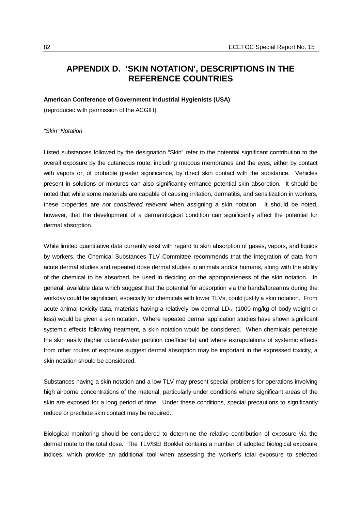## **APPENDIX D. 'SKIN NOTATION', DESCRIPTIONS IN THE REFERENCE COUNTRIES**

#### **American Conference of Government Industrial Hygienists (USA)**

(reproduced with permission of the ACGIH)

#### *"Skin" Notation*

Listed substances followed by the designation "Skin" refer to the potential significant contribution to the overall exposure by the cutaneous route, including mucous membranes and the eyes, either by contact with vapors or, of probable greater significance, by direct skin contact with the substance. Vehicles present in solutions or mixtures can also significantly enhance potential skin absorption. It should be noted that while some materials are capable of causing irritation, dermatitis, and sensitization in workers, these properties are *not considered relevant* when assigning a skin notation. It should be noted, however, that the development of a dermatological condition can significantly affect the potential for dermal absorption.

While limited quantitative data currently exist with regard to skin absorption of gases, vapors, and liquids by workers, the Chemical Substances TLV Committee recommends that the integration of data from acute dermal studies and repeated dose dermal studies in animals and/or humans, along with the ability of the chemical to be absorbed, be used in deciding on the appropriateness of the skin notation. In general, available data which suggest that the potential for absorption via the hands/forearms during the workday could be significant, especially for chemicals with lower TLVs, could justify a skin notation. From acute animal toxicity data, materials having a relatively low dermal  $LD_{50}$  (1000 mg/kg of body weight or less) would be given a skin notation. Where repeated dermal application studies have shown significant systemic effects following treatment, a skin notation would be considered. When chemicals penetrate the skin easily (higher octanol-water partition coefficients) and where extrapolations of systemic effects from other routes of exposure suggest dermal absorption may be important in the expressed toxicity, a skin notation should be considered.

Substances having a skin notation and a low TLV may present special problems for operations involving high airborne concentrations of the material, particularly under conditions where significant areas of the skin are exposed for a long period of time. Under these conditions, special precautions to significantly reduce or preclude skin contact may be required.

Biological monitoring should be considered to determine the relative contribution of exposure via the dermal route to the total dose. The TLV/BEI Booklet contains a number of adopted biological exposure indices, which provide an additional tool when assessing the worker's total exposure to selected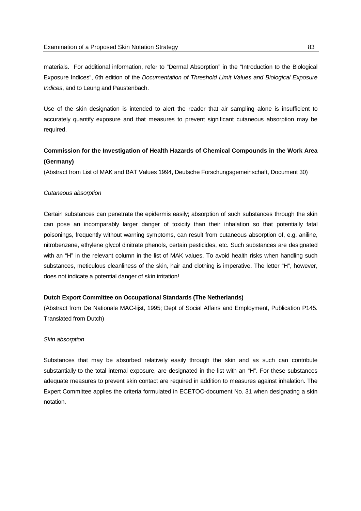materials. For additional information, refer to "Dermal Absorption" in the "Introduction to the Biological Exposure Indices", 6th edition of the *Documentation of Threshold Limit Values and Biological Exposure Indices*, and to Leung and Paustenbach.

Use of the skin designation is intended to alert the reader that air sampling alone is insufficient to accurately quantify exposure and that measures to prevent significant cutaneous absorption may be required.

## **Commission for the Investigation of Health Hazards of Chemical Compounds in the Work Area (Germany)**

(Abstract from List of MAK and BAT Values 1994, Deutsche Forschungsgemeinschaft, Document 30)

#### *Cutaneous absorption*

Certain substances can penetrate the epidermis easily; absorption of such substances through the skin can pose an incomparably larger danger of toxicity than their inhalation so that potentially fatal poisonings, frequently without warning symptoms, can result from cutaneous absorption of, e.g. aniline, nitrobenzene, ethylene glycol dinitrate phenols, certain pesticides, etc. Such substances are designated with an "H" in the relevant column in the list of MAK values. To avoid health risks when handling such substances, meticulous cleanliness of the skin, hair and clothing is imperative. The letter "H", however, does not indicate a potential danger of skin irritation!

#### **Dutch Export Committee on Occupational Standards (The Netherlands)**

(Abstract from De Nationale MAC-lijst, 1995; Dept of Social Affairs and Employment, Publication P145. Translated from Dutch)

#### *Skin absorption*

Substances that may be absorbed relatively easily through the skin and as such can contribute substantially to the total internal exposure, are designated in the list with an "H". For these substances adequate measures to prevent skin contact are required in addition to measures against inhalation. The Expert Committee applies the criteria formulated in ECETOC-document No. 31 when designating a skin notation.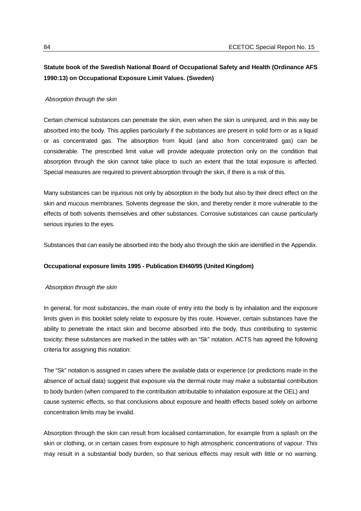## **Statute book of the Swedish National Board of Occupational Safety and Health (Ordinance AFS 1990:13) on Occupational Exposure Limit Values. (Sweden)**

#### *Absorption through the skin*

Certain chemical substances can penetrate the skin, even when the skin is uninjured, and in this way be absorbed into the body. This applies particularly if the substances are present in solid form or as a liquid or as concentrated gas. The absorption from liquid (and also from concentrated gas) can be considerable. The prescribed limit value will provide adequate protection only on the condition that absorption through the skin cannot take place to such an extent that the total exposure is affected. Special measures are required to prevent absorption through the skin, if there is a risk of this.

Many substances can be injurious not only by absorption in the body but also by their direct effect on the skin and mucous membranes. Solvents degrease the skin, and thereby render it more vulnerable to the effects of both solvents themselves and other substances. Corrosive substances can cause particularly serious injuries to the eyes.

Substances that can easily be absorbed into the body also through the skin are identified in the Appendix.

#### **Occupational exposure limits 1995 - Publication EH40/95 (United Kingdom)**

#### *Absorption through the skin*

In general, for most substances, the main route of entry into the body is by inhalation and the exposure limits given in this booklet solely relate to exposure by this route. However, certain substances have the ability to penetrate the intact skin and become absorbed into the body, thus contributing to systemic toxicity; these substances are marked in the tables with an "Sk" notation. ACTS has agreed the following criteria for assigning this notation:

The "Sk" notation is assigned in cases where the available data or experience (or predictions made in the absence of actual data) suggest that exposure via the dermal route may make a substantial contribution to body burden (when compared to the contribution attributable to inhalation exposure at the OEL) and cause systemic effects, so that conclusions about exposure and health effects based solely on airborne concentration limits may be invalid.

Absorption through the skin can result from localised contamination, for example from a splash on the skin or clothing, or in certain cases from exposure to high atmospheric concentrations of vapour. This may result in a substantial body burden, so that serious effects may result with little or no warning.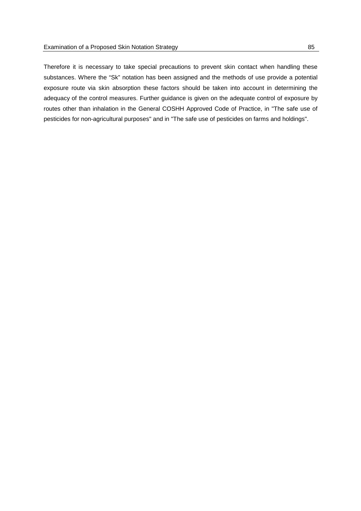Therefore it is necessary to take special precautions to prevent skin contact when handling these substances. Where the "Sk" notation has been assigned and the methods of use provide a potential exposure route via skin absorption these factors should be taken into account in determining the adequacy of the control measures. Further guidance is given on the adequate control of exposure by routes other than inhalation in the General COSHH Approved Code of Practice, in "The safe use of pesticides for non-agricultural purposes" and in "The safe use of pesticides on farms and holdings".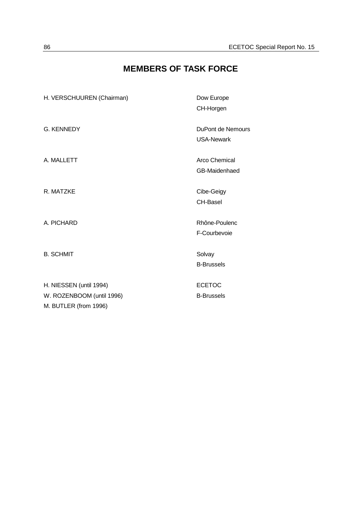# **MEMBERS OF TASK FORCE**

| H. VERSCHUUREN (Chairman) | Dow Europe        |
|---------------------------|-------------------|
|                           | CH-Horgen         |
| <b>G. KENNEDY</b>         | DuPont de Nemours |
|                           | <b>USA-Newark</b> |
| A. MALLETT                | Arco Chemical     |
|                           | GB-Maidenhaed     |
| R. MATZKE                 | Cibe-Geigy        |
|                           | <b>CH-Basel</b>   |
| A. PICHARD                | Rhône-Poulenc     |
|                           | F-Courbevoie      |
| <b>B. SCHMIT</b>          | Solvay            |
|                           | <b>B-Brussels</b> |
|                           |                   |
| H. NIESSEN (until 1994)   | <b>ECETOC</b>     |
| W. ROZENBOOM (until 1996) | <b>B-Brussels</b> |
| M. BUTLER (from 1996)     |                   |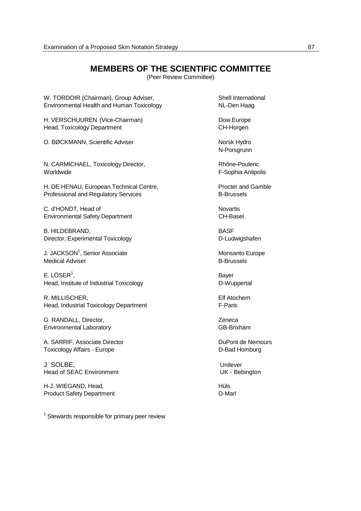## **MEMBERS OF THE SCIENTIFIC COMMITTEE**

(Peer Review Committee)

W. TORDOIR (Chairman), Group Adviser,<br>
Environmental Health and Human Toxicology<br>
NL-Den Haag Environmental Health and Human Toxicology

H. VERSCHUUREN (Vice-Chairman) Dow Europe Head, Toxicology Department CH-Horgen

O. BØCKMANN, Scientific Adviser Norsk Hydro

N. CARMICHAEL, Toxicology Director, Rhône-Poulenc Worldwide F-Sophia Antipolis

H. DE HENAU, European Technical Centre, Procter and Gamble Professional and Regulatory Services **B-Brussels** 

C. d'HONDT, Head of Novartis Environmental Safety Department CH-Basel

B. HILDEBRAND, BASE Director, Experimental Toxicology **D-Ludwigshafen** 

J. JACKSON<sup>1</sup>, Senior Associate Monsanto Europe Medical Adviser and the extent of the B-Brussels

 $E.$  LÖSER<sup>1</sup>, , and the contract of the contract of the Bayer Head, Institute of Industrial Toxicology **D-Wuppertal** 

R. MILLISCHER, Elf Atochem Head, Industrial Toxicology Department F-Paris

G. RANDALL, Director, No. 2006. 2012. 2014 Environmental Laboratory GB-Brixham

A. SARRIF, Associate Director **DuPont de Nemours** DuPont de Nemours Toxicology Affairs - Europe **D-Bad Homburg** 

J. SOLBE,<br>
Head of SEAC Environment<br>
Head of SEAC Environment<br>
UK - Bebinaton Head of SEAC Environment

H-J. WIEGAND, Head, No. 1996, No. 1997, No. 1997, No. 1998, Hüls Product Safety Department D-Marl

 $1$  Stewards responsible for primary peer review

N-Porsgrunn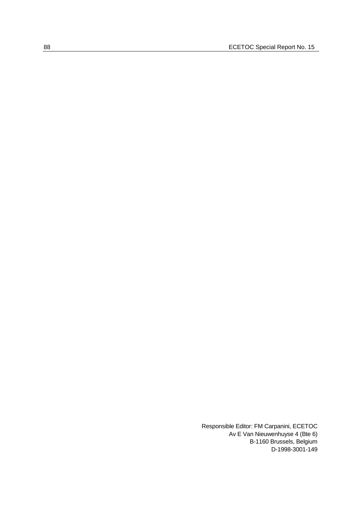Responsible Editor: FM Carpanini, ECETOC Av E Van Nieuwenhuyse 4 (Bte 6) B-1160 Brussels, Belgium D-1998-3001-149